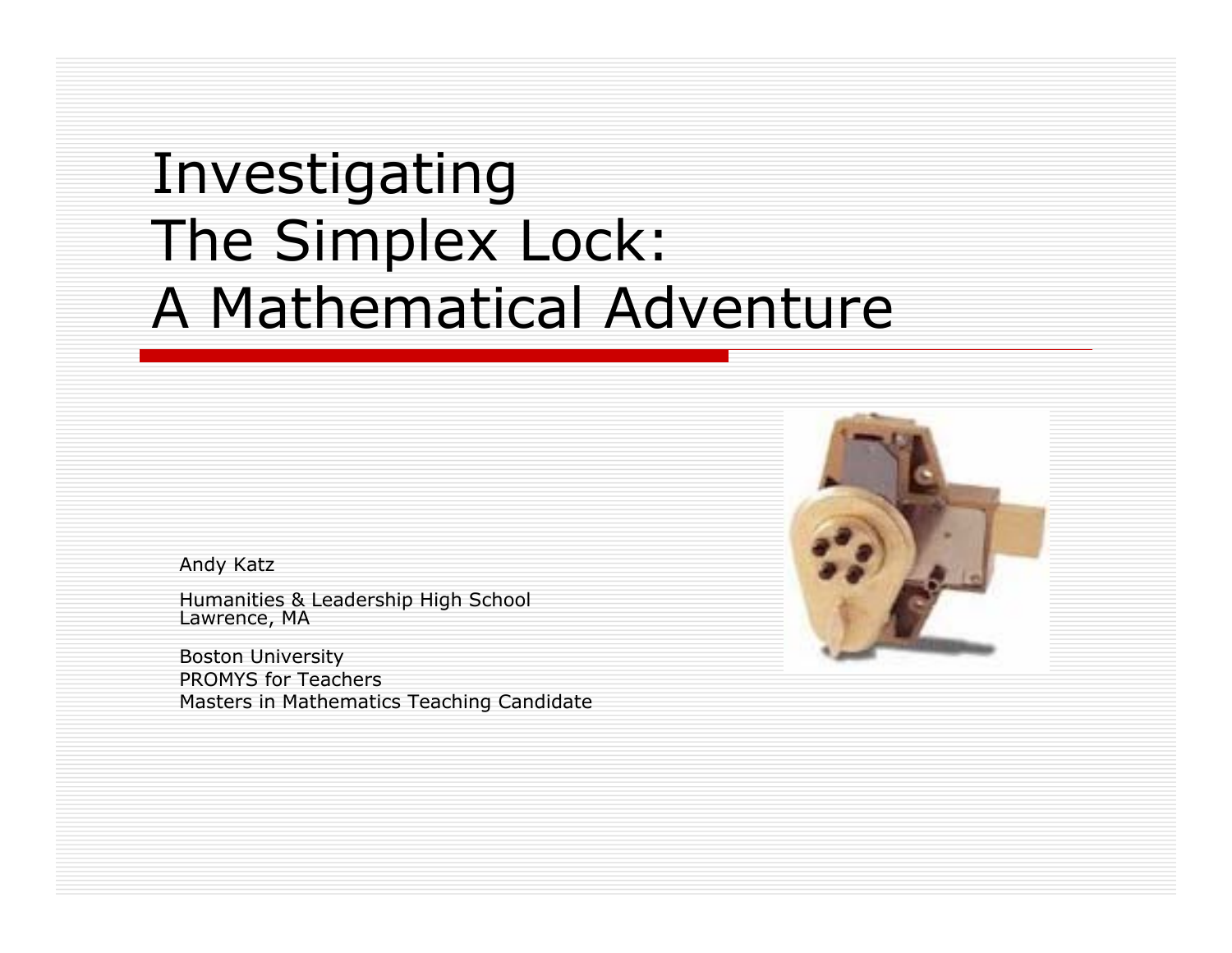# Investigating The Simplex Lock: A Mathematical Adventure

Andy Katz

Humanities & Leadership High School Lawrence, MA

Boston University PROMYS for Teachers Masters in Mathematics Teaching Candidate

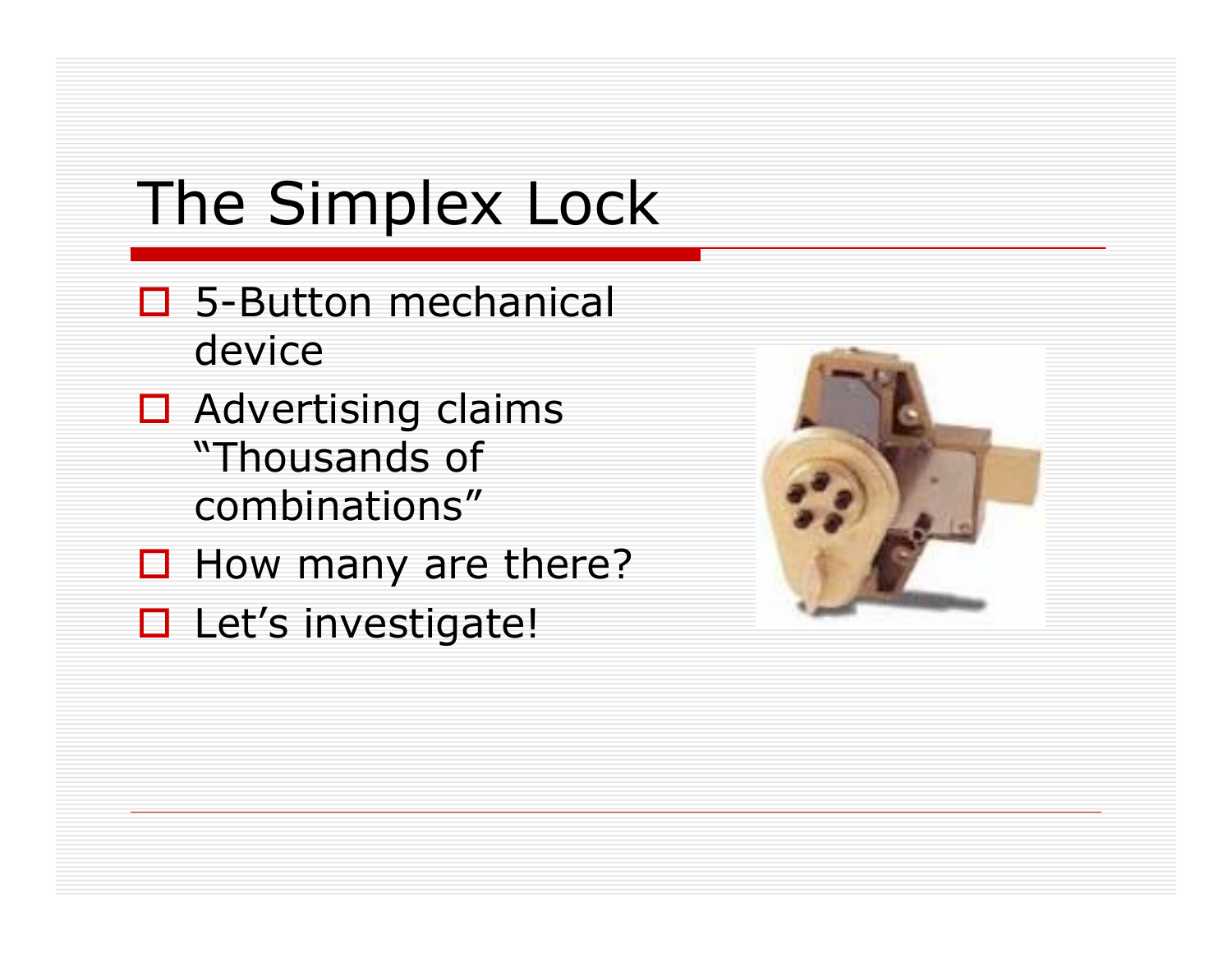# The Simplex Lock

- □ 5-Button mechanical device
- $\Box$  Advertising claims "Thousands of combinations"
- $\Box$  How many are there?
- □ Let's investigate!

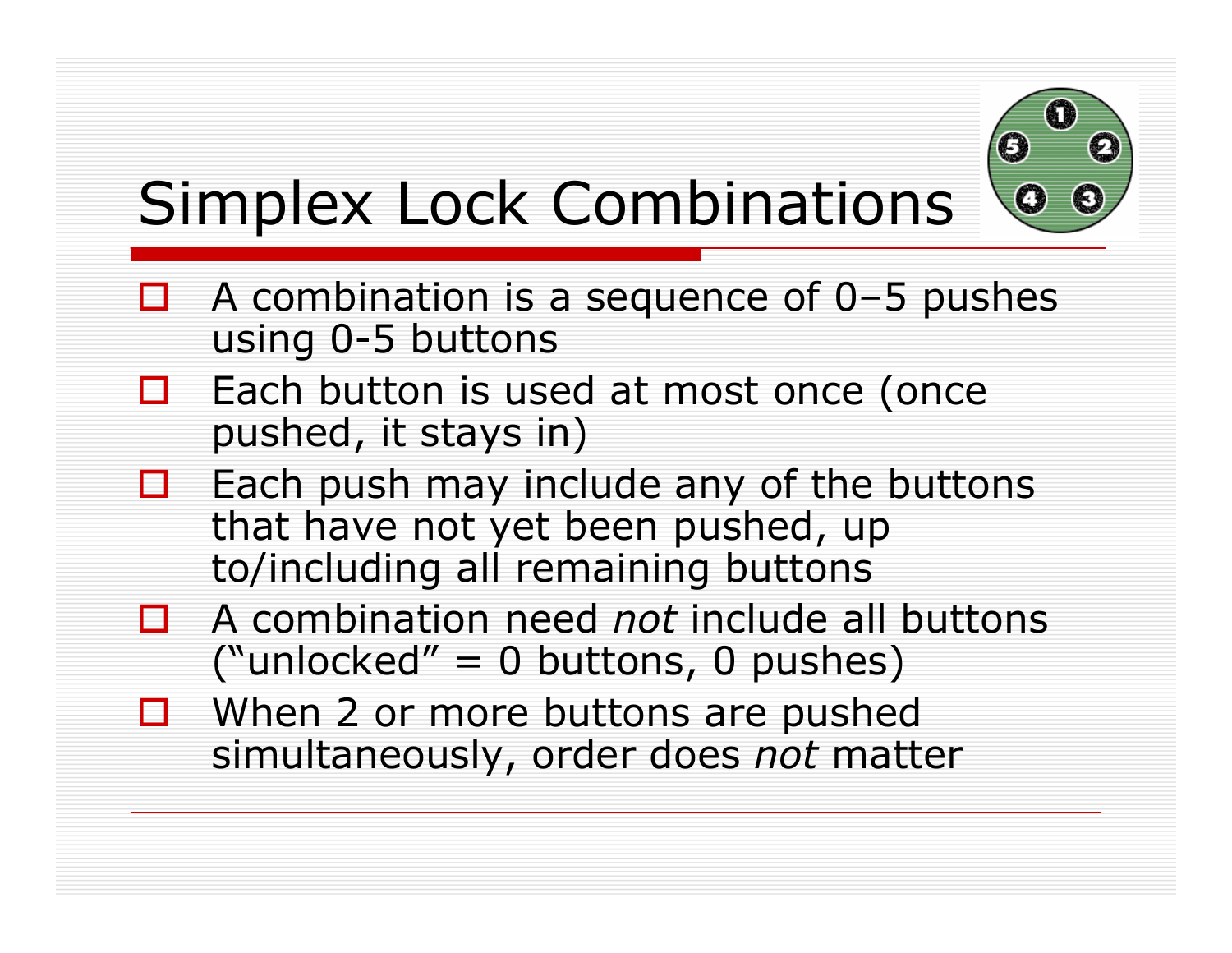

# Simplex Lock Combinations

- $\Box$  A combination is a sequence of 0-5 pushes using 0-5 buttons
- $\Box$  Each button is used at most once (once pushed, it stays in)
- $\Box$  Each push may include any of the buttons that have not yet been pushed, up to/including all remaining buttons
- A combination need *not* include all buttons ("unlocked" =  $0$  buttons,  $0$  pushes)
- $\Box$  When 2 or more buttons are pushed simultaneously, order does *not* matter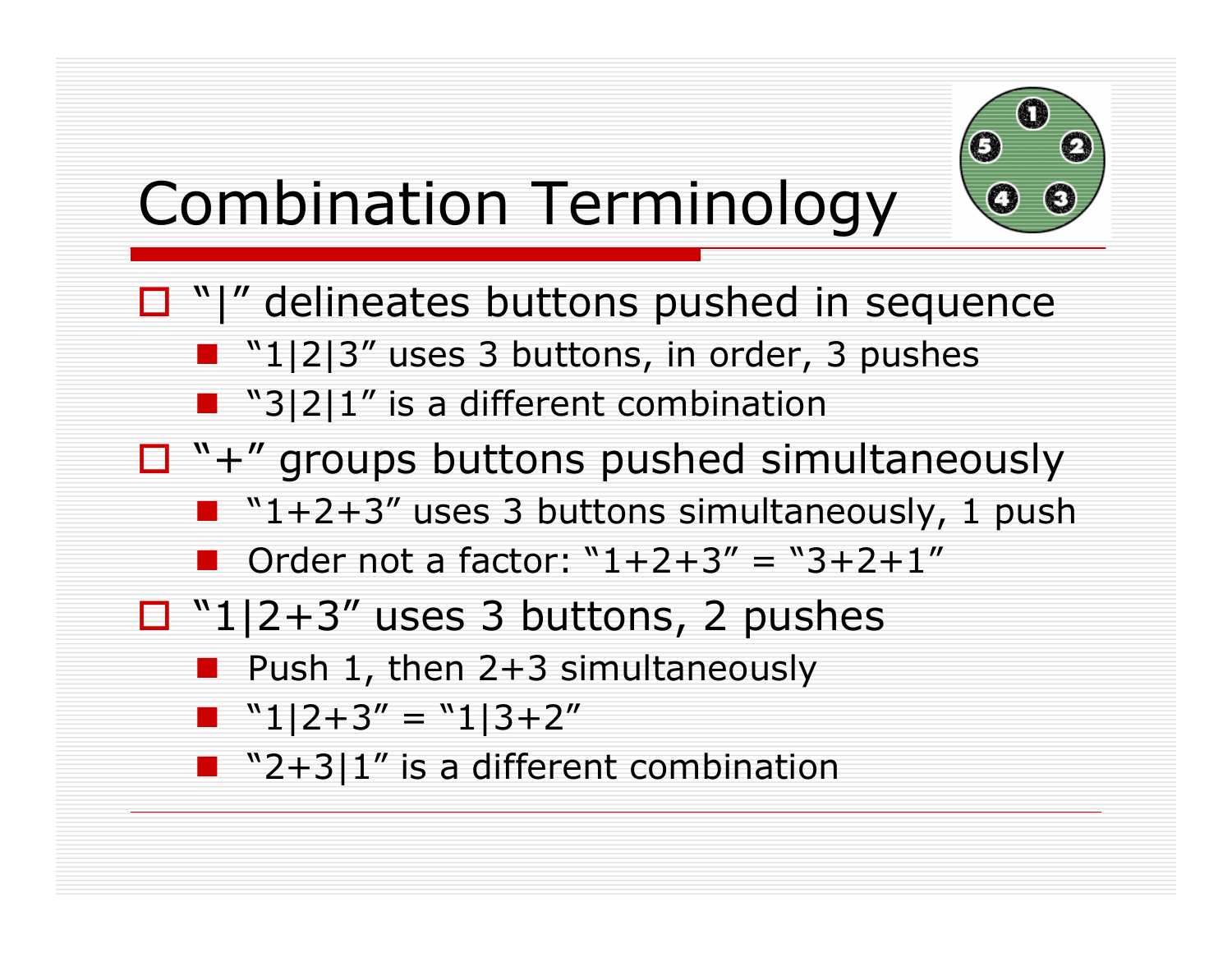

# Combination Terminology

- $\Box$  "|" delineates buttons pushed in sequence
	- **11-11213**" uses 3 buttons, in order, 3 pushes
	- $\blacksquare$  "3|2|1" is a different combination
- $\Box$  "+" groups buttons pushed simultaneously
	- $\blacksquare$  "1+2+3" uses 3 buttons simultaneously, 1 push
	- Order not a factor:  $"1+2+3" = "3+2+1"$
- $\Box$  "1|2+3" uses 3 buttons, 2 pushes
	- Push 1, then 2+3 simultaneously
	- $\blacksquare$  "1|2+3" = "1|3+2"
	- $\blacksquare$  "2+3|1" is a different combination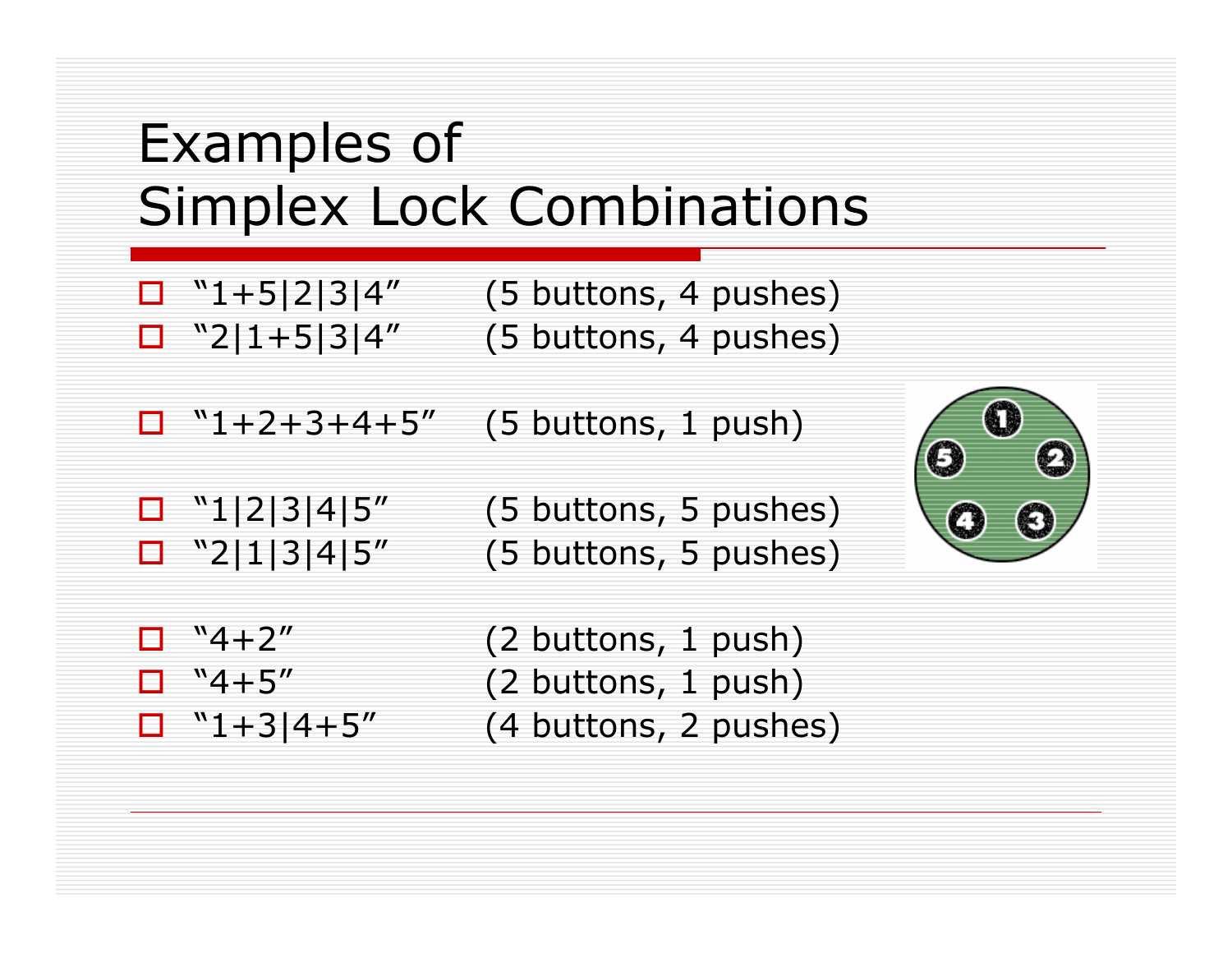#### Examples of Simplex Lock Combinations

- 
- $\Box$  "1+5|2|3|4" (5 buttons, 4 pushes)  $\Box$  "2|1+5|3|4" (5 buttons, 4 pushes)
- $\Box$  "1+2+3+4+5" (5 buttons, 1 push)
- 

 $\Box$  "1|2|3|4|5" (5 buttons, 5 pushes)  $\Box$  "2|1|3|4|5" (5 buttons, 5 pushes)



- 
- 
- 
- $"4+2"$  (2 buttons, 1 push)  $\Box$  "4+5" (2 buttons, 1 push)  $\Box$  "1+3|4+5" (4 buttons, 2 pushes)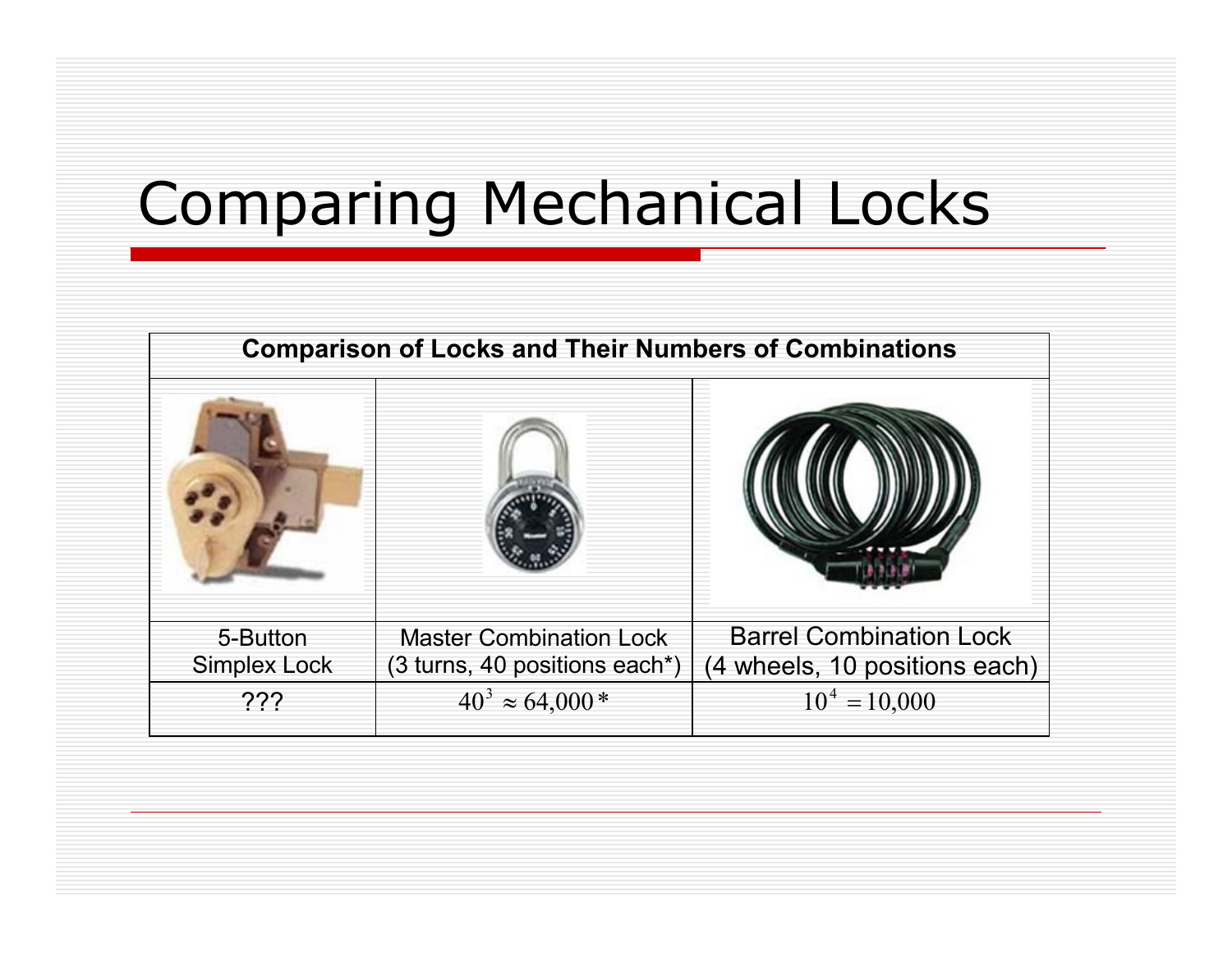# Comparing Mechanical Locks

| <b>Comparison of Locks and Their Numbers of Combinations</b> |                                |                                |  |
|--------------------------------------------------------------|--------------------------------|--------------------------------|--|
|                                                              |                                |                                |  |
| 5-Button                                                     | <b>Master Combination Lock</b> | <b>Barrel Combination Lock</b> |  |
| <b>Simplex Lock</b>                                          | (3 turns, 40 positions each*)  | 4 wheels, 10 positions each)   |  |
| ???                                                          | $40^3 \approx 64,000^*$        | $10^4 = 10,000$                |  |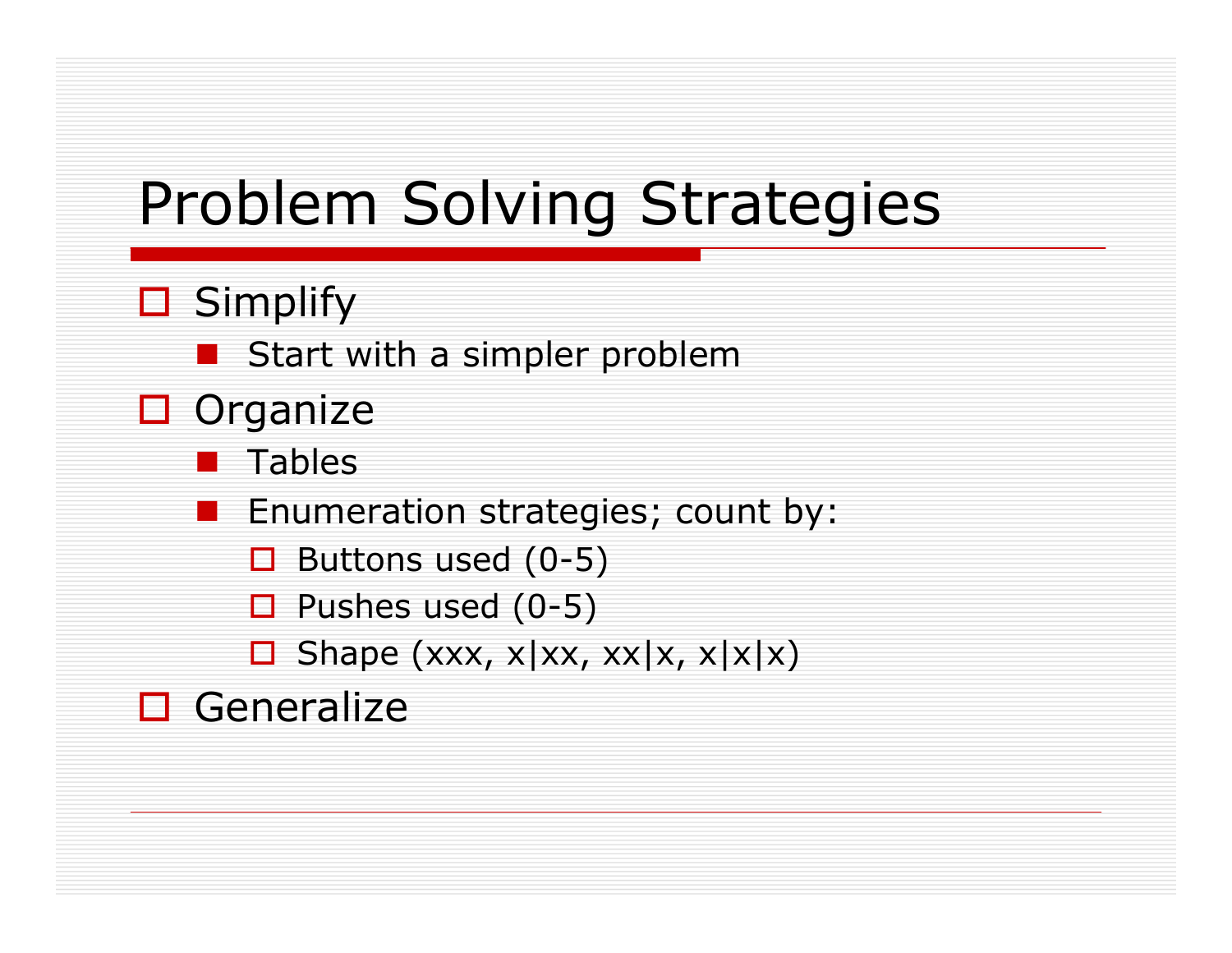# Problem Solving Strategies

- **□** Simplify
	- Start with a simpler problem
- $\Box$  Organize
	- **Tables**
	- Enumeration strategies; count by:
		- $\Box$  Buttons used (0-5)
		- $\Box$  Pushes used (0-5)
		- $\Box$  Shape (xxx, x|xx, xx|x, x|x|x)
- □ Generalize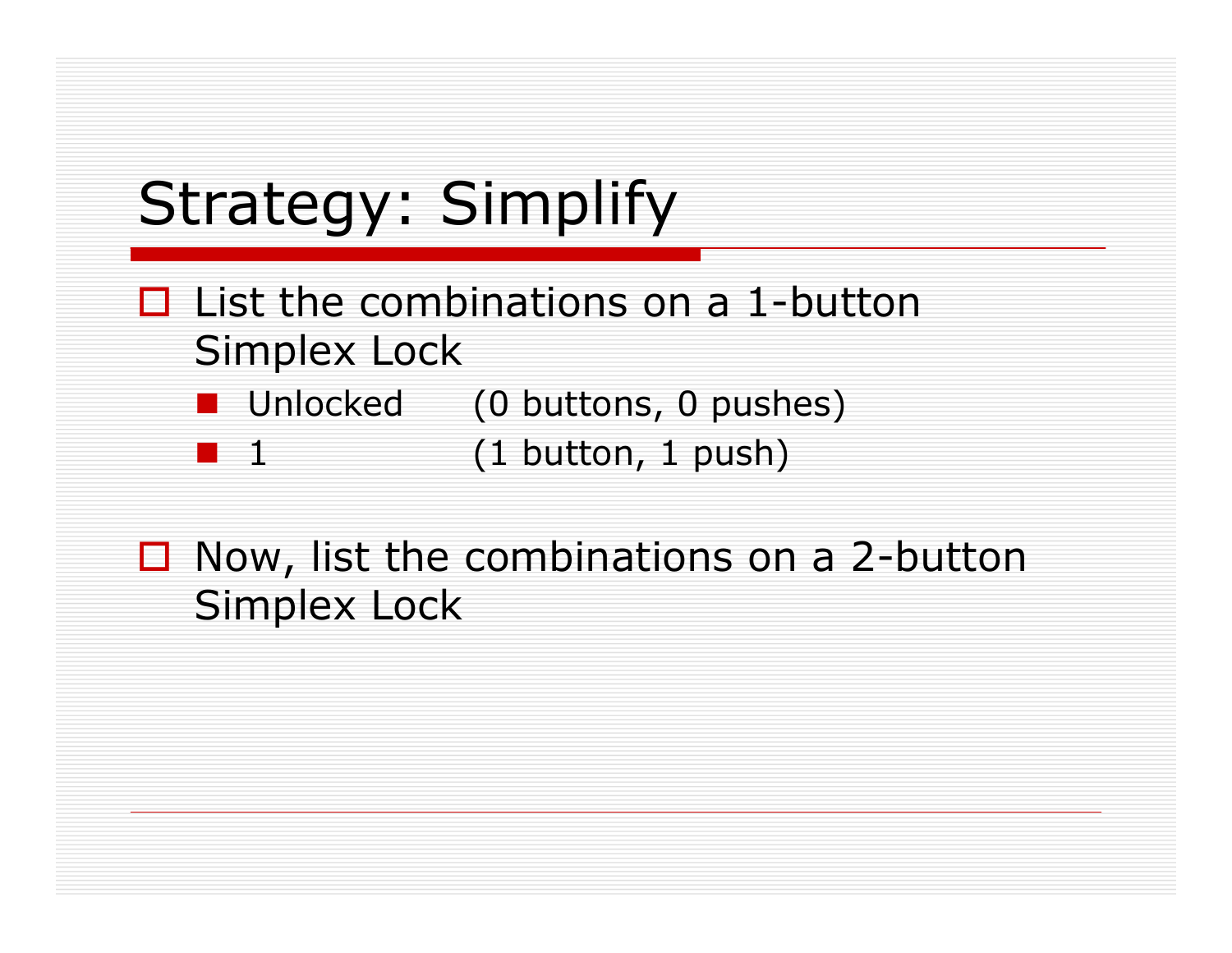# Strategy: Simplify

- $\Box$  List the combinations on a 1-button Simplex Lock
	- Unlocked (0 buttons, 0 pushes)
	- 1 (1 button, 1 push)
- $\Box$  Now, list the combinations on a 2-button Simplex Lock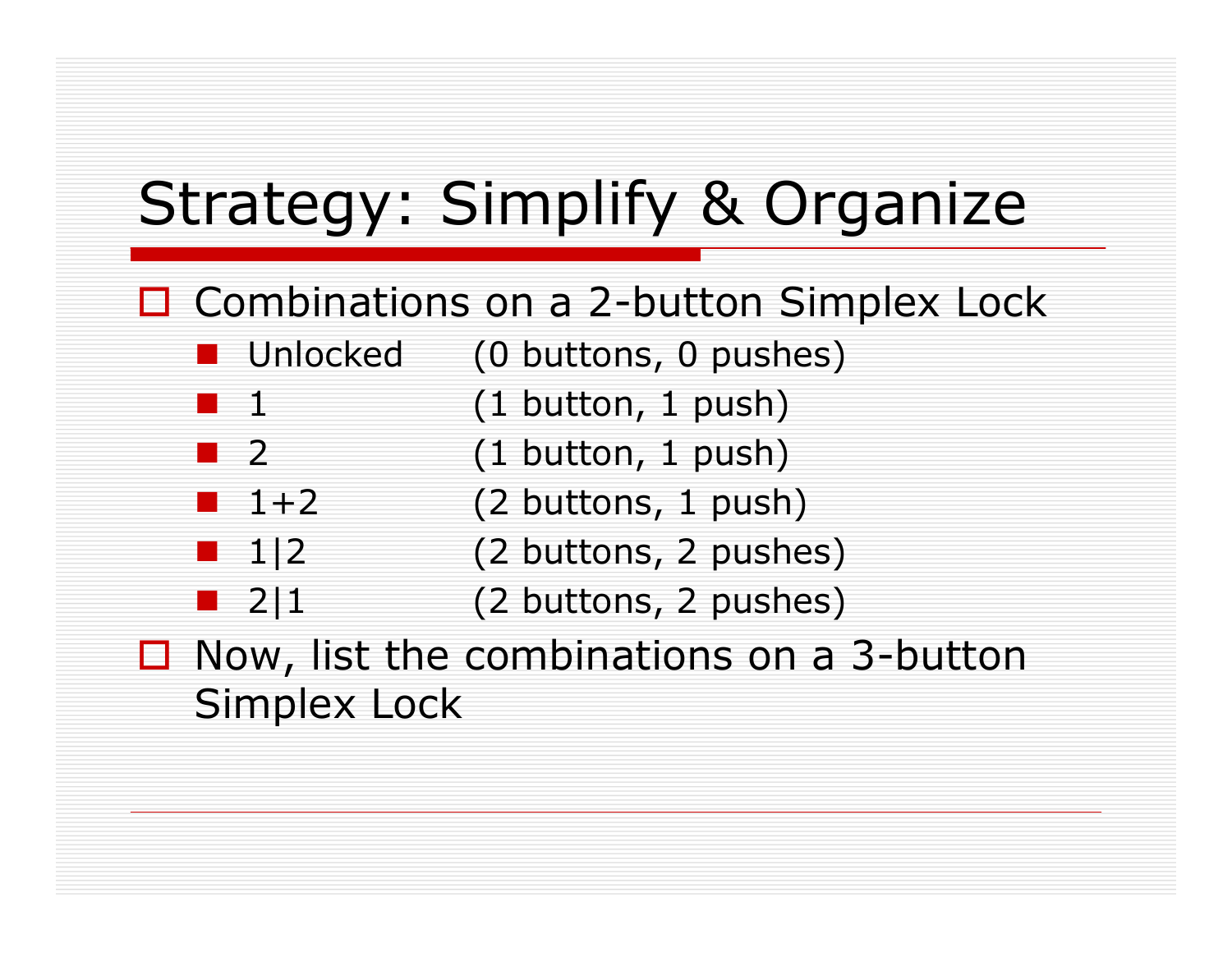# Strategy: Simplify & Organize

- $\Box$  Combinations on a 2-button Simplex Lock
	- Unlocked (0 buttons, 0 pushes)
	- 1 (1 button, 1 push)
	- $\blacksquare$  2 (1 button, 1 push)
	- $1+2$  (2 buttons, 1 push)
	- $\blacksquare$  1|2 (2 buttons, 2 pushes)
	- $\blacksquare$  2|1 (2 buttons, 2 pushes)
- $\Box$  Now, list the combinations on a 3-button Simplex Lock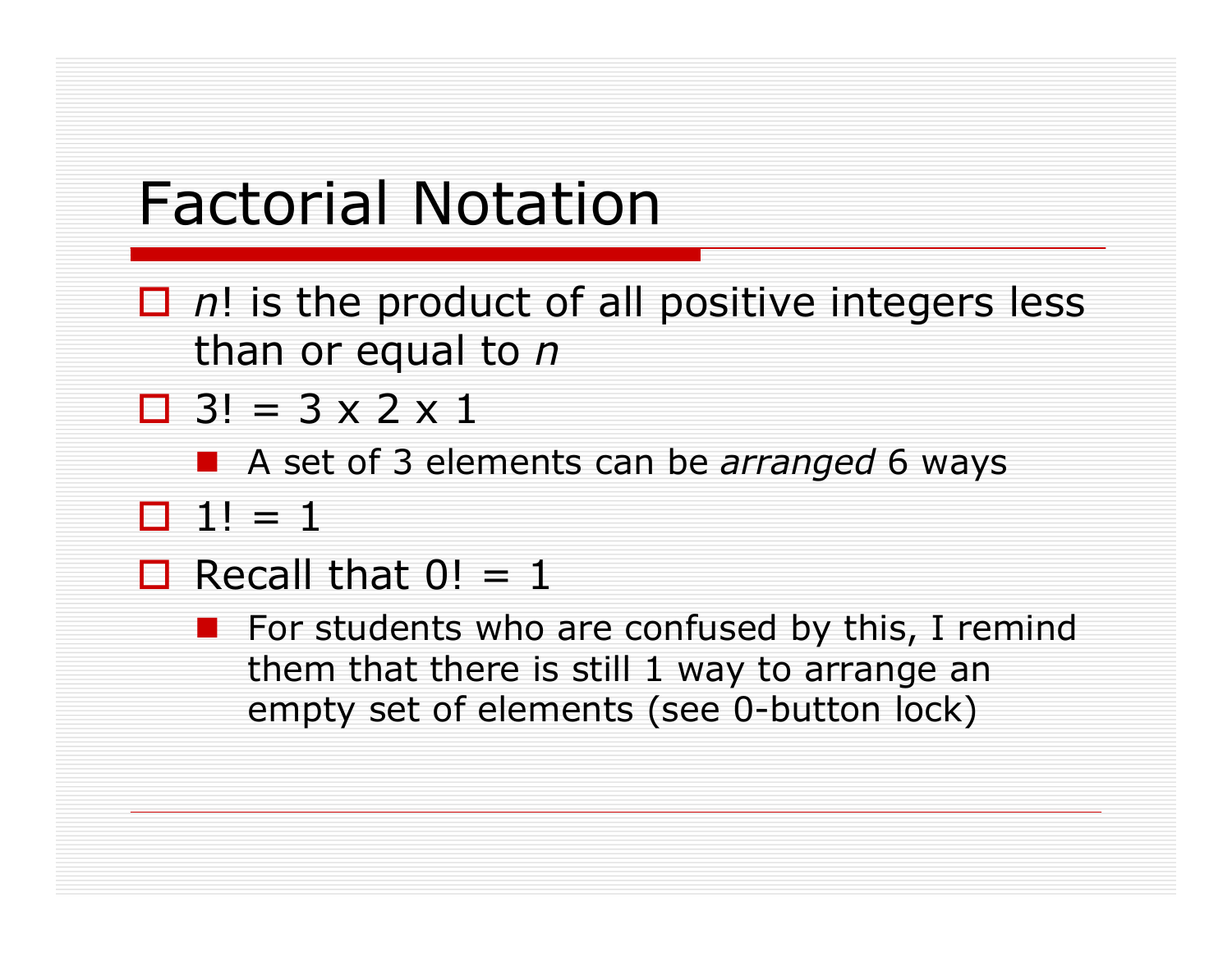## Factorial Notation

- $\Box$  n! is the product of all positive integers less than or equal to *n*
- $\Box$  3! = 3 x 2 x 1
	- A set of 3 elements can be *arranged* 6 ways
- $\Box$  1! = 1
- $\Box$  Recall that  $0! = 1$ 
	- $\blacksquare$  For students who are confused by this, I remind them that there is still 1 way to arrange an empty set of elements (see 0-button lock)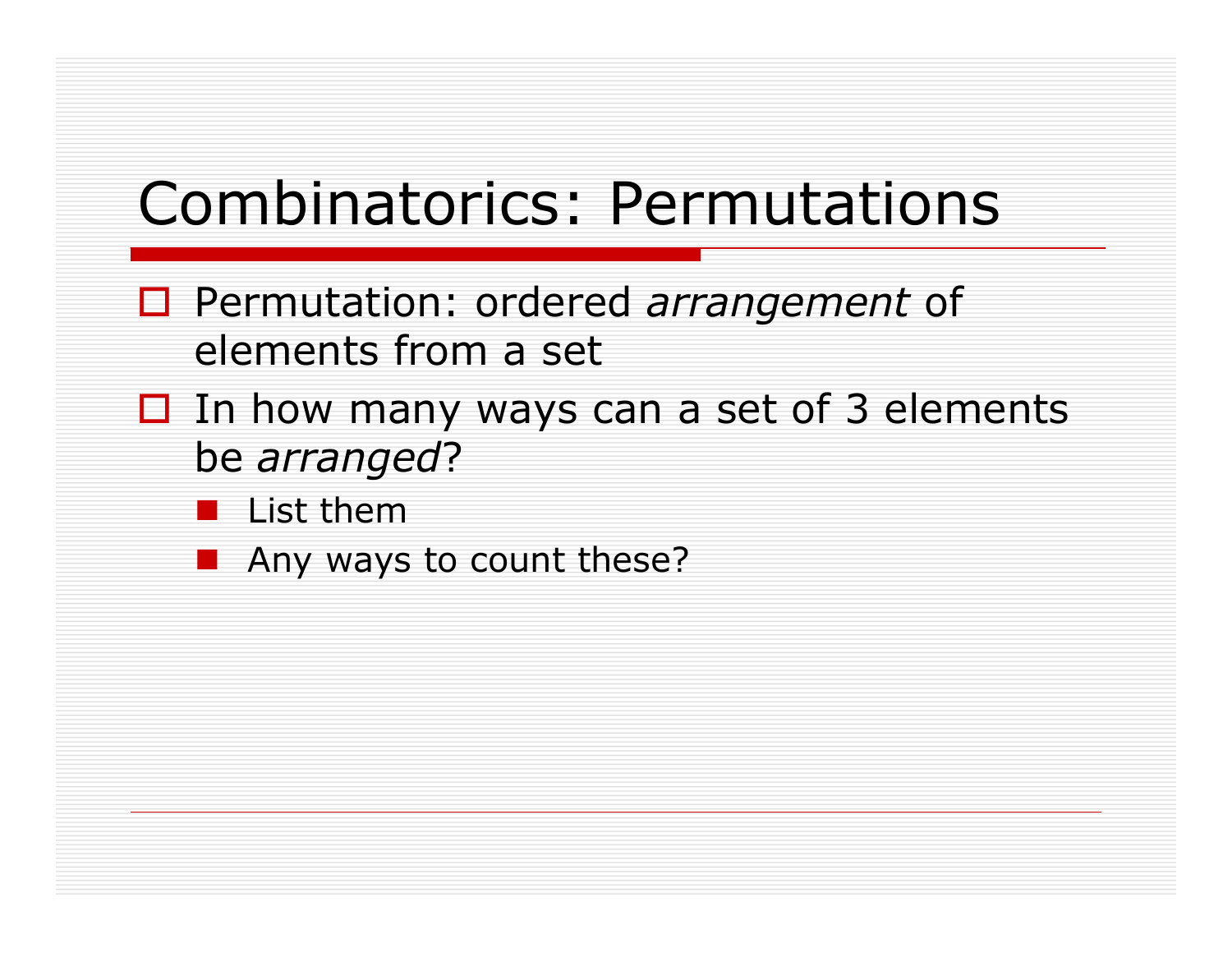# Combinatorics: Permutations

- Permutation: ordered *arrangement* of elements from a set
- $\Box$  In how many ways can a set of 3 elements be *arranged*?
	- $\blacksquare$  List them
	- Any ways to count these?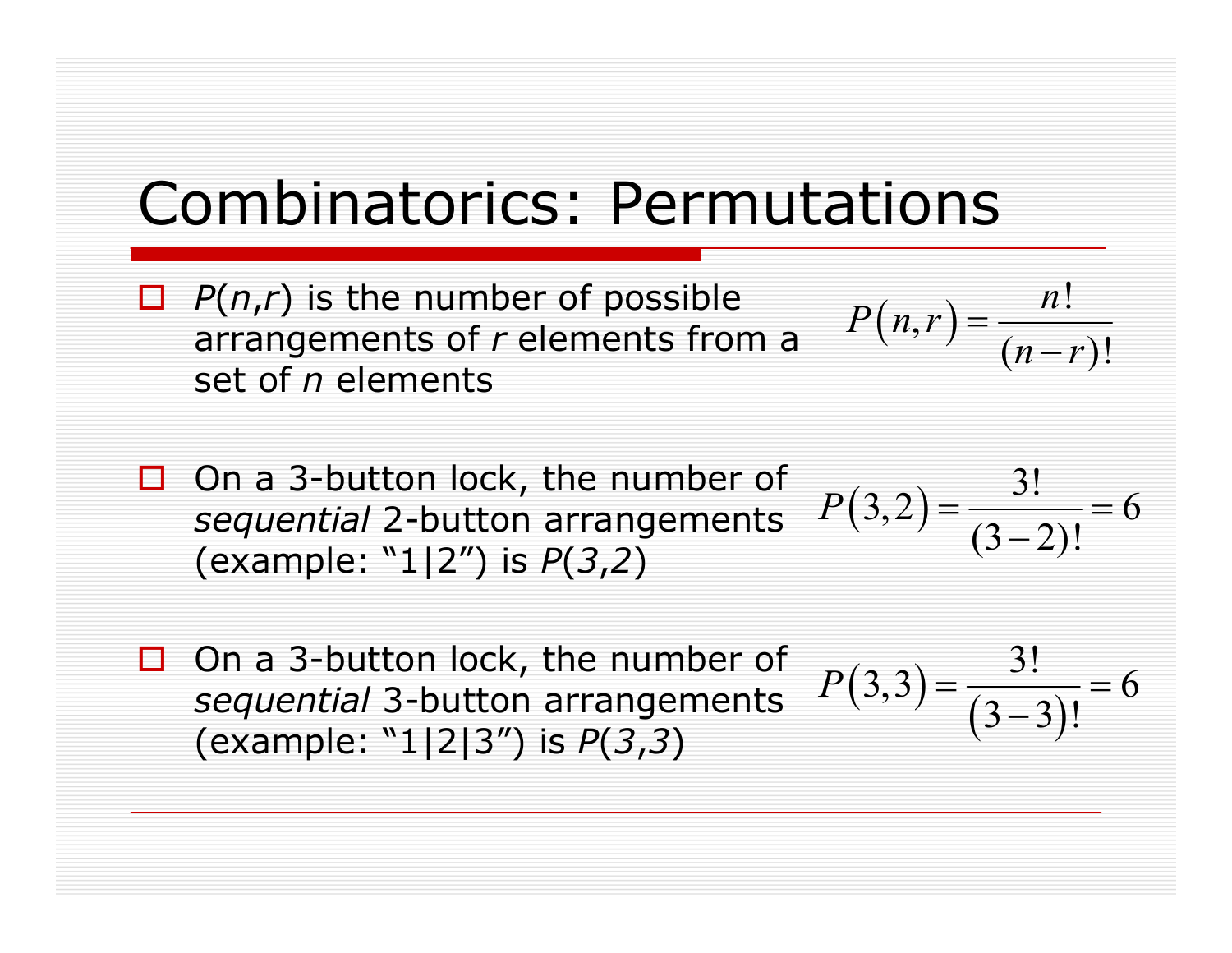#### Combinatorics: Permutations

- $P(n,r)$  is the number of possible arrangements of *r* elements from a set of *n* elements
- $\Box$  On a 3-button lock, the number of On a 3-button lock, the number of  $P(3,2) = \frac{3!}{(3,2)!} = 6$ (example: "1|2") is *P*(*3*,*2*)
	- $P(3,2) = \frac{3!}{(3-2)!}$

 $(n,r) = \frac{n!}{s!}$ 

 $P(n,r) = \frac{n}{r}$ 

 $(r) = \frac{n!}{(n-r)!}$ 

 $=\frac{n}{(n-r)}$ 

- $\Box$  On a 3-button lock, the number of *sequential* 3-button arrangements (example: "1|2|3") is *P*(*3*,*3*)
- $(3,3) = \frac{3!}{(3-3)}$  $(3,3) = \frac{3!}{(2,3)!} = 6$  $P(3,3) = \frac{3!}{(3-3)!}$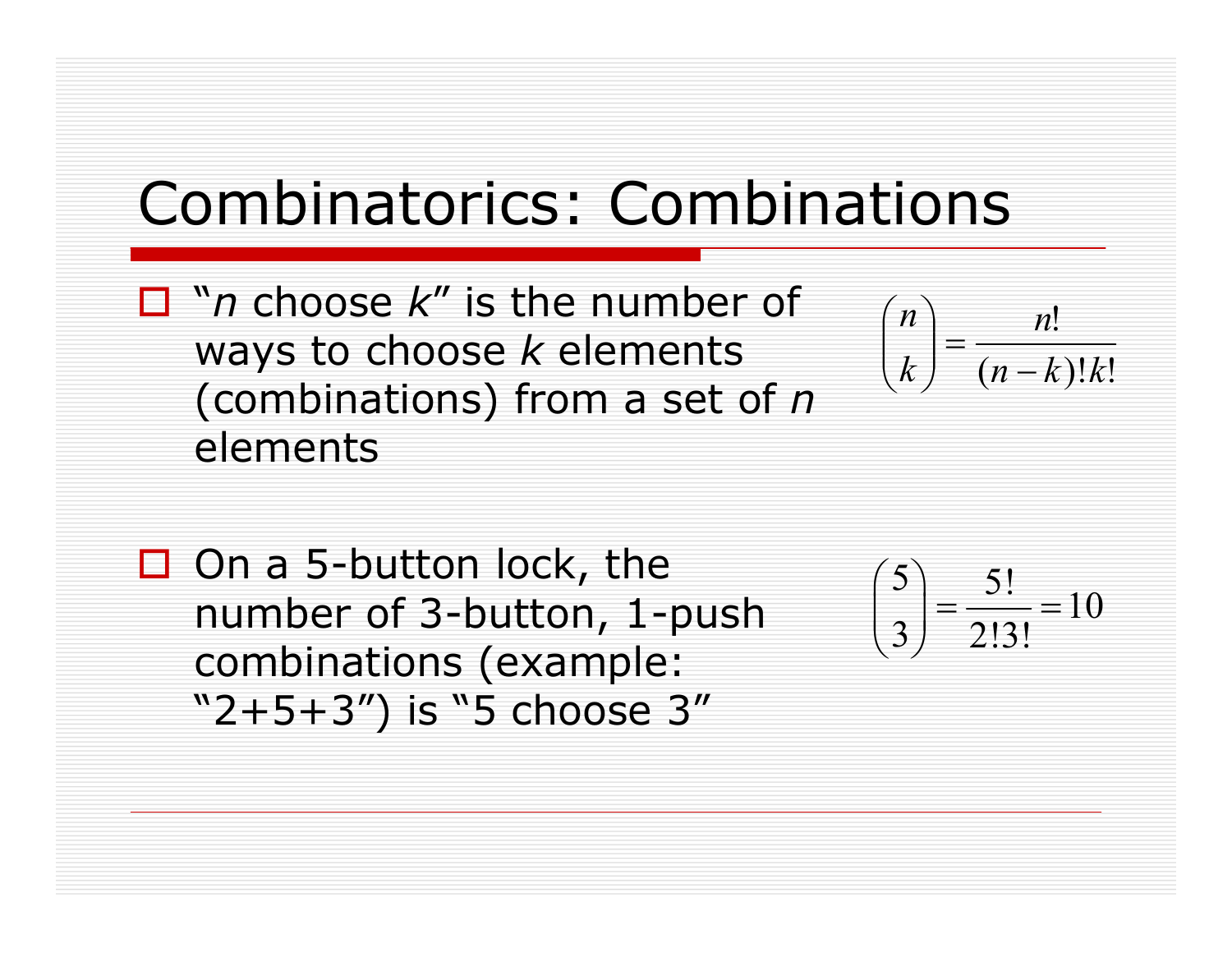### Combinatorics: Combinations

 "*n* choose *k*" is the number of ways to choose *k* elements (combinations) from a set of *n* elements

$$
\binom{n}{k} = \frac{n!}{(n-k)!k!}
$$

 $\Box$  On a 5-button lock, the number of 3-button, 1-push combinations (example: "2+5+3") is "5 choose 3"

$$
\binom{5}{3} = \frac{5!}{2!3!} = 10
$$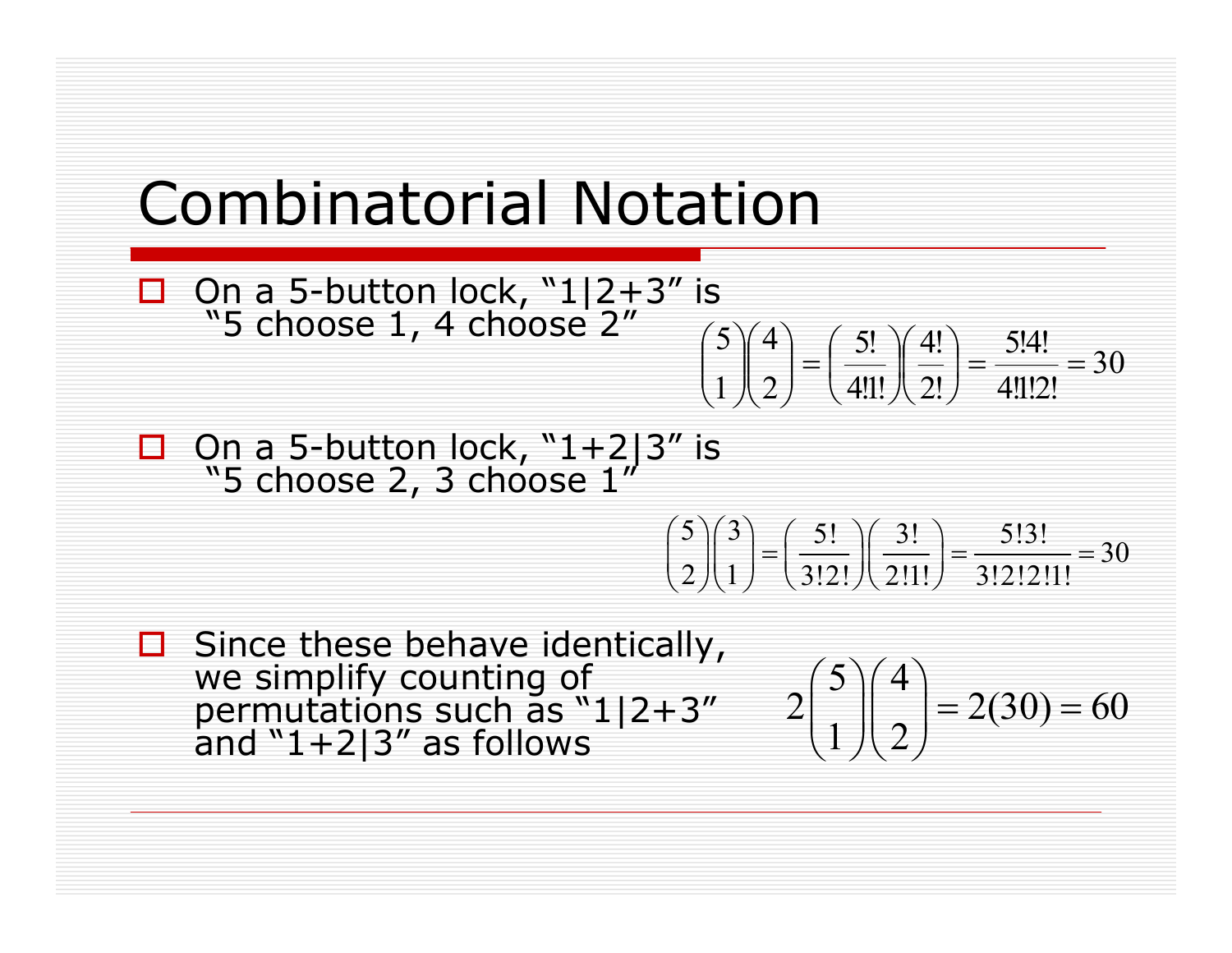#### Combinatorial Notation

- $\Box$  On a 5-button lock, "1|2+3" is "5 choose 1, 4 choose 2"
	- 30 4!1!2! 5!4! !2 4! 4!!! 5! 2 4 1  $\binom{5}{3}$  $\binom{4}{2}$  $=$  $\binom{5!}{4!}$  $\binom{4!}{3!}$  $=$  $\frac{5!4!}{4!}$  $=$  $\int$  $\left(\frac{4!}{2!}\right)$  $\setminus$ § ¸  $\int$  $\left(\frac{5!}{4!1!}\right)$  $\setminus$ §  $\vert$  =  $\int$ · ¨ ¨  $\setminus$ § ¸ ¸  $\int$ ·  $\overline{\phantom{a}}$ ¨  $\setminus$ §
- $\Box$  On a 5-button lock, "1+2|3" is "5 choose 2, 3 choose  $1''$

$$
\binom{5}{2}\binom{3}{1} = \left(\frac{5!}{3!2!}\right)\left(\frac{3!}{2!1!}\right) = \frac{5!3!}{3!2!2!1!} = 30
$$

 Since these behave identically, we simplify counting of permutations such as "1|2+3" and  $"1+2|3"$  as follows

$$
2\binom{5}{1}\binom{4}{2} = 2(30) = 60
$$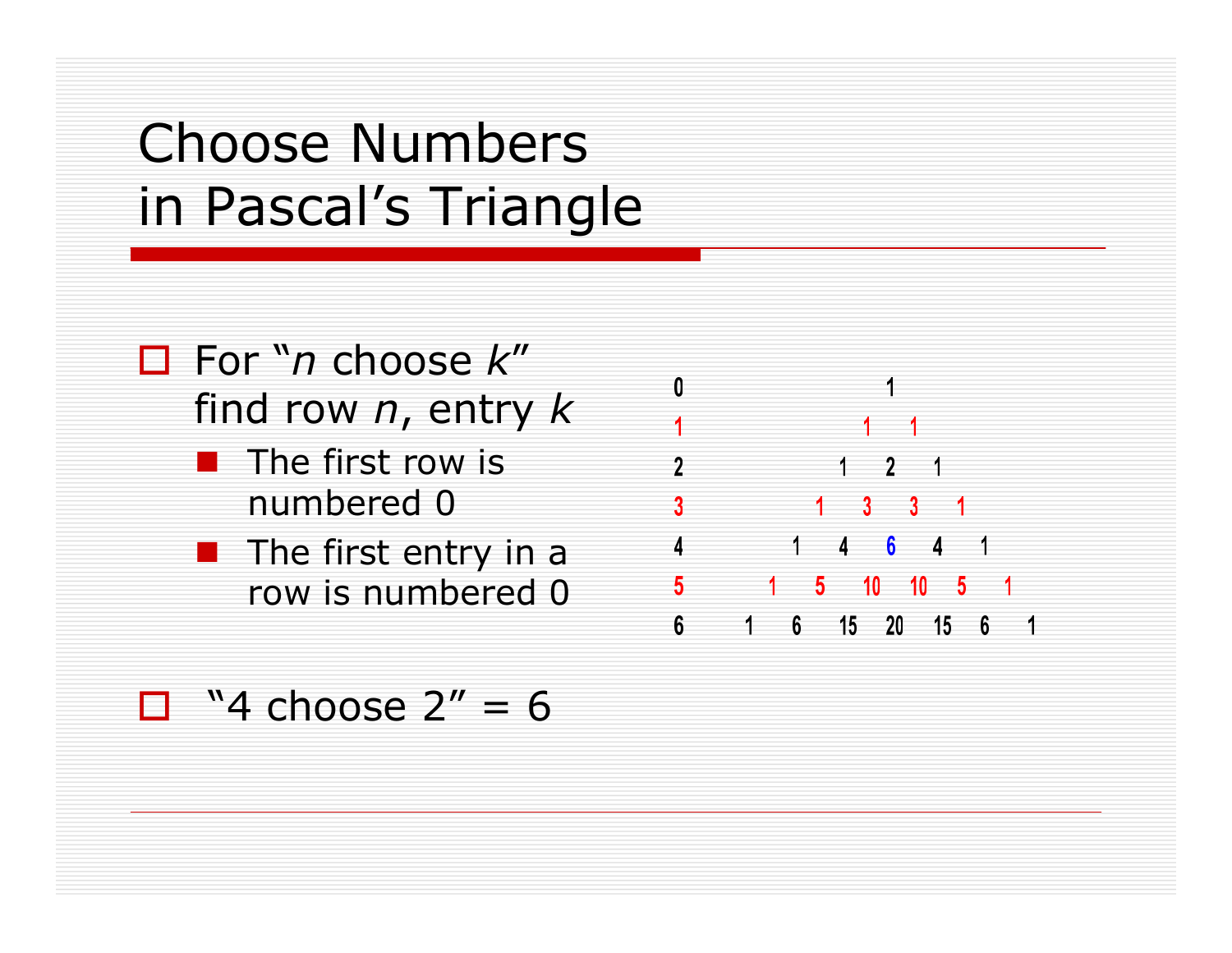### Choose Numbers in Pascal's Triangle

- For "*n* choose *k*" find row *n*, entry *k*
	- $\blacksquare$  The first row is numbered 0
	- $\blacksquare$  The first entry in a row is numbered 0

 $\mathbf{0}$  $\overline{\phantom{a}}$  $1 \quad 2 \quad 1$  $1464$  $\sim$  1  $1 5 10 10 5$ 5 1 6 15 20 15 6  $6\phantom{.}6$  $\overline{\phantom{0}}$ 

#### $\Box$  "4 choose 2" = 6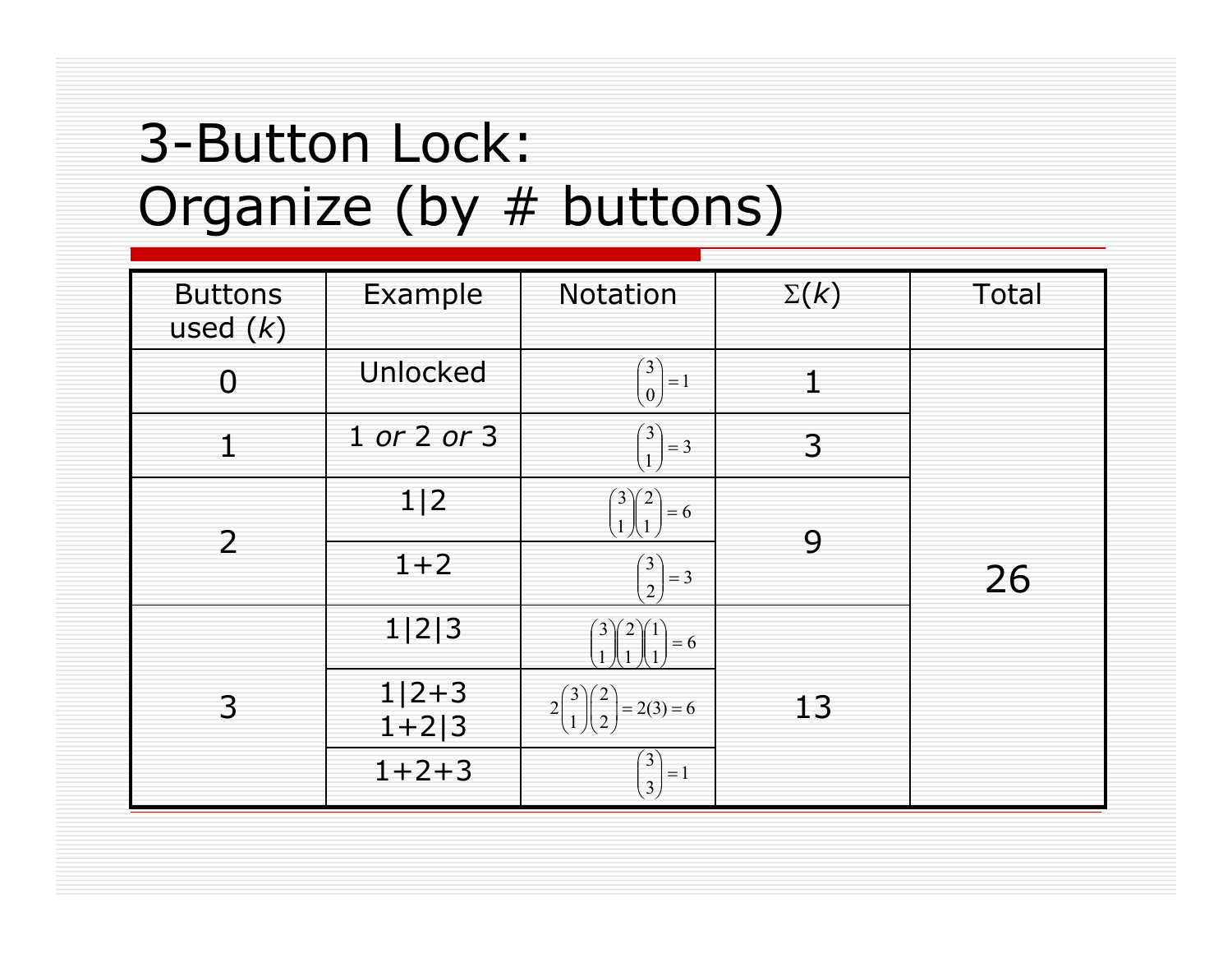#### 3-Button Lock: Organize (by # buttons)

| <b>Buttons</b><br>used $(k)$ | Example            | Notation                                                          | $\Sigma(k)$  | Total |
|------------------------------|--------------------|-------------------------------------------------------------------|--------------|-------|
| $\overline{0}$               | Unlocked           | $\begin{pmatrix} 3 \\ 0 \end{pmatrix}$<br>$=\!1$                  | $\mathbf{1}$ |       |
| 1                            | 1 or 2 or 3        | $\begin{pmatrix} 3 \\ 1 \end{pmatrix}$<br>$=$ 3                   | 3            |       |
| $\overline{2}$               | 1 2                | $\begin{bmatrix} 2 \\ 1 \end{bmatrix}$<br>$= 6$<br>$\overline{1}$ |              |       |
|                              | $1 + 2$            | $\begin{pmatrix} 3 \\ 2 \end{pmatrix}$<br>$=$ 3                   | 9            | 26    |
|                              | 1 2 3              | $\left(3\right)$<br>$= 6$                                         |              |       |
| 3                            | $1 2+3$<br>$1+2 3$ | $\binom{3}{1}\binom{2}{2}$<br>$2\vert$<br>$= 2(3) = 6$            | 13           |       |
|                              | $1 + 2 + 3$        | $\binom{3}{3}$<br>$=\!1$                                          |              |       |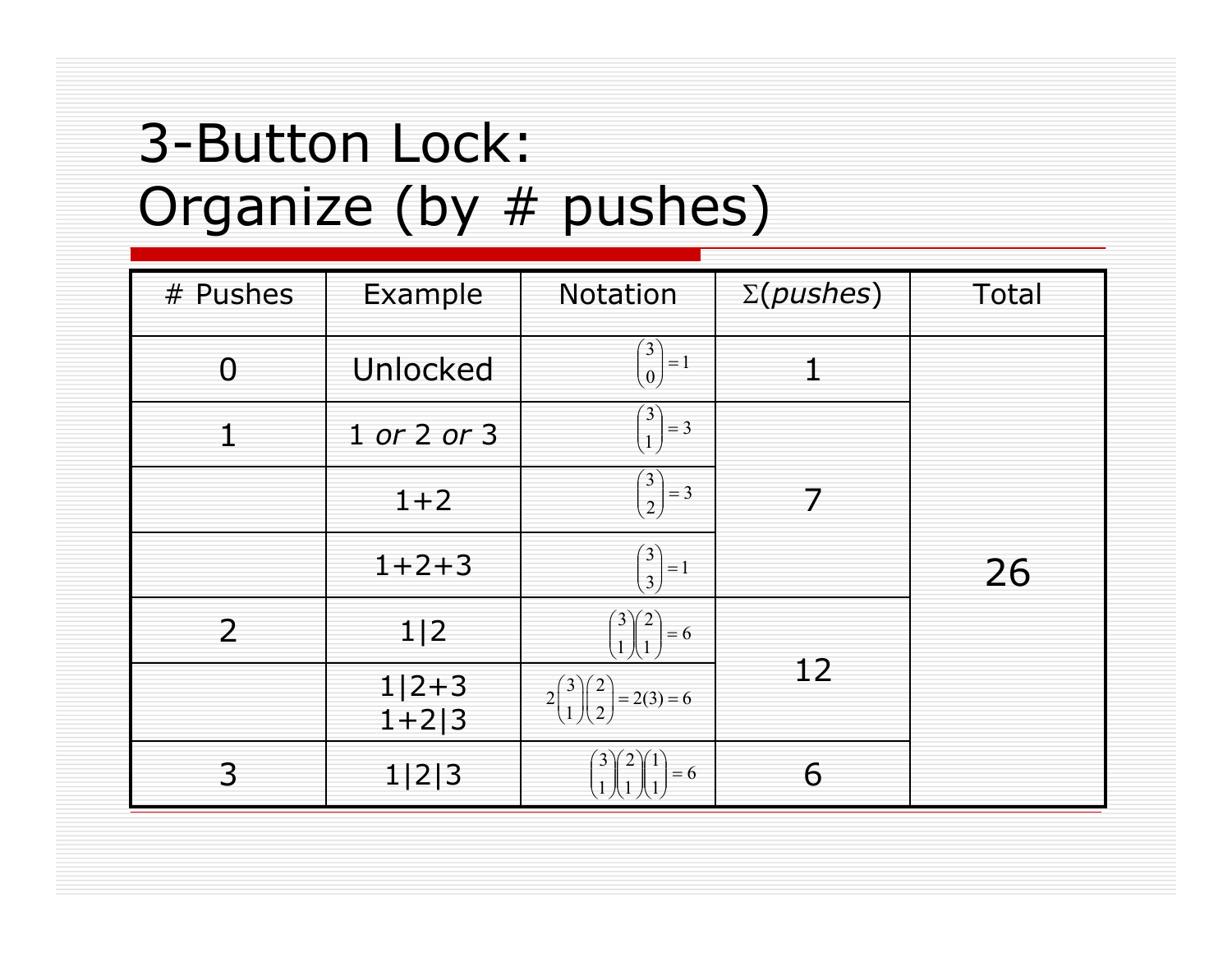#### 3-Button Lock: Organize (by # pushes)

| # Pushes       | Example             | Notation                                                                             | $\Sigma(pushes)$ | Total |
|----------------|---------------------|--------------------------------------------------------------------------------------|------------------|-------|
| $\overline{0}$ | Unlocked            | $\begin{pmatrix} 3 \\ 0 \end{pmatrix}$<br>$=1$                                       |                  |       |
| $\mathbf{1}$   | 1 or 2 or 3         | $\begin{pmatrix} 3 \\ 1 \end{pmatrix}$<br>$=$ 3                                      |                  |       |
|                | $1 + 2$             | $\binom{3}{2}$<br>$\vert = 3$                                                        | 7                |       |
|                | $1 + 2 + 3$         | $\binom{3}{3}$<br>$=\!1$                                                             |                  | 26    |
| $\overline{2}$ | 1 2                 | $\begin{pmatrix} 3 \\ 1 \end{pmatrix} \begin{pmatrix} 2 \\ 1 \end{pmatrix}$<br>$= 6$ |                  |       |
|                | $1 2+3$<br>$1+2$  3 | $2\binom{3}{1}\binom{2}{2} = 2(3) = 6$                                               | 12               |       |
| 3              | 1 2 3               | 3)<br>$= 6$                                                                          | 6                |       |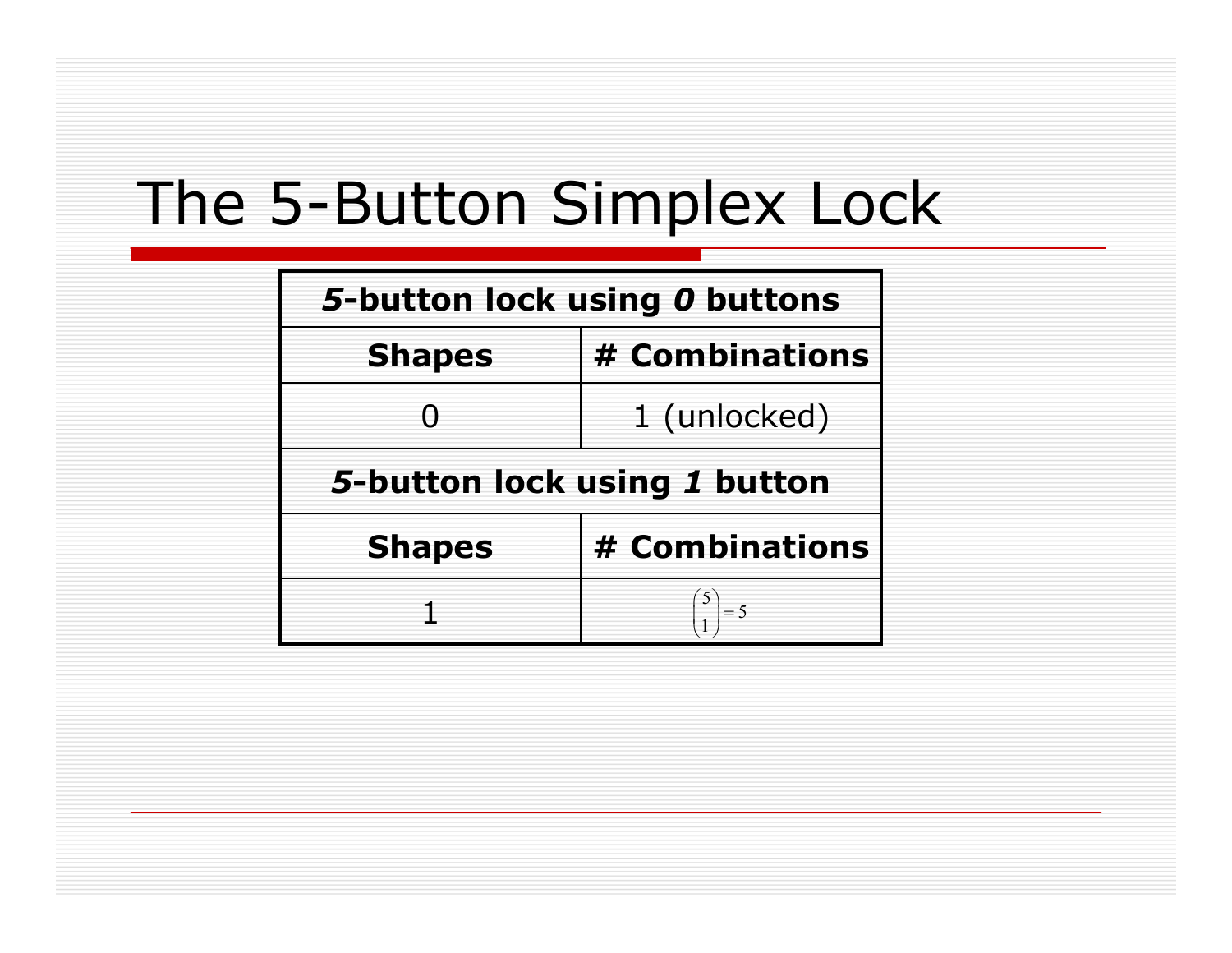| 5-button lock using 0 buttons |                |  |
|-------------------------------|----------------|--|
| <b>Shapes</b>                 | # Combinations |  |
|                               | 1 (unlocked)   |  |
| 5-button lock using 1 button  |                |  |
| <b>Shapes</b>                 | # Combinations |  |
|                               | $\vert = 5$    |  |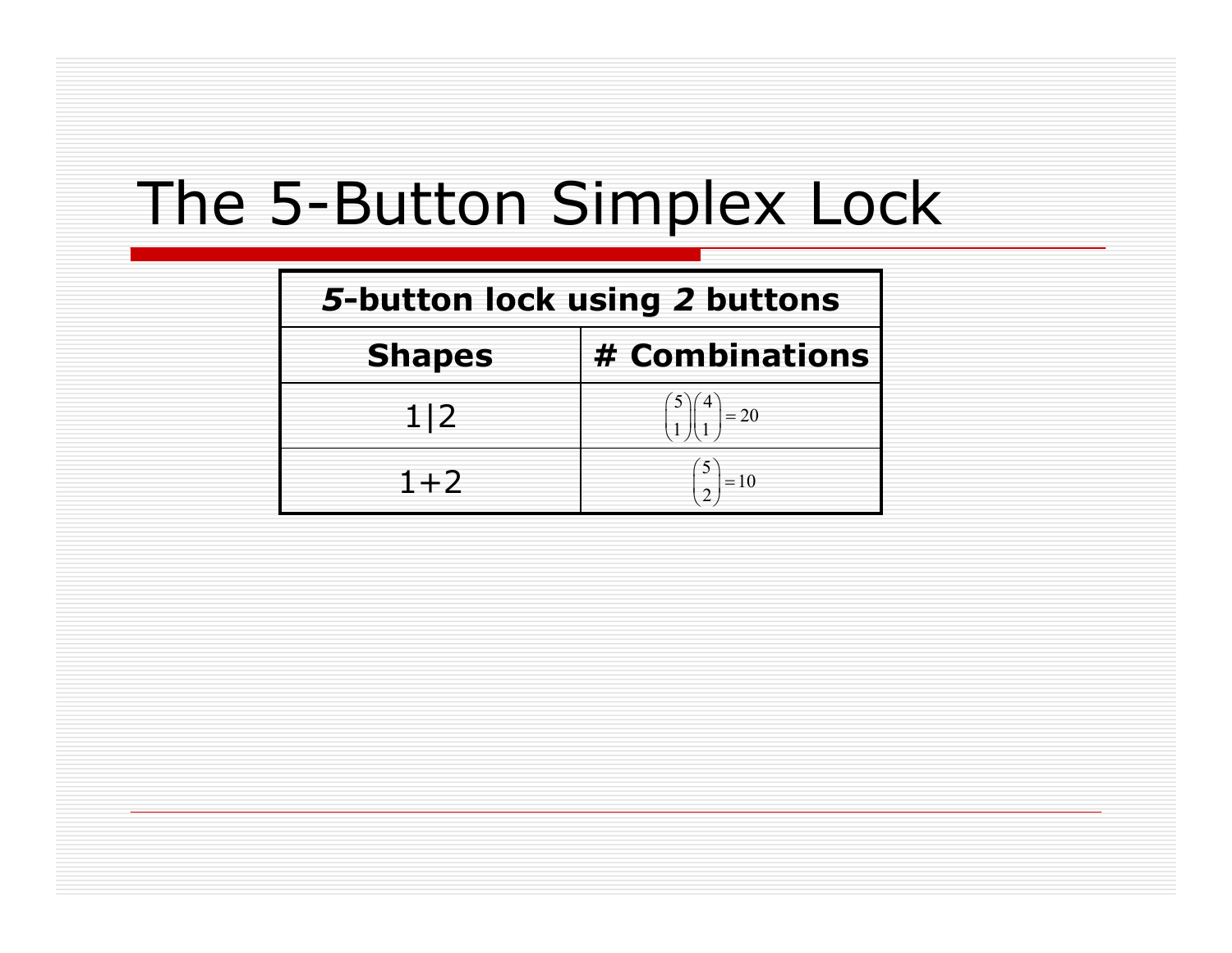| 5-button lock using 2 buttons |                           |  |  |
|-------------------------------|---------------------------|--|--|
| <b>Shapes</b>                 | # Combinations            |  |  |
| 1 2                           | $\left  \right ^{4}$ = 20 |  |  |
| $1+2$                         | $=10$                     |  |  |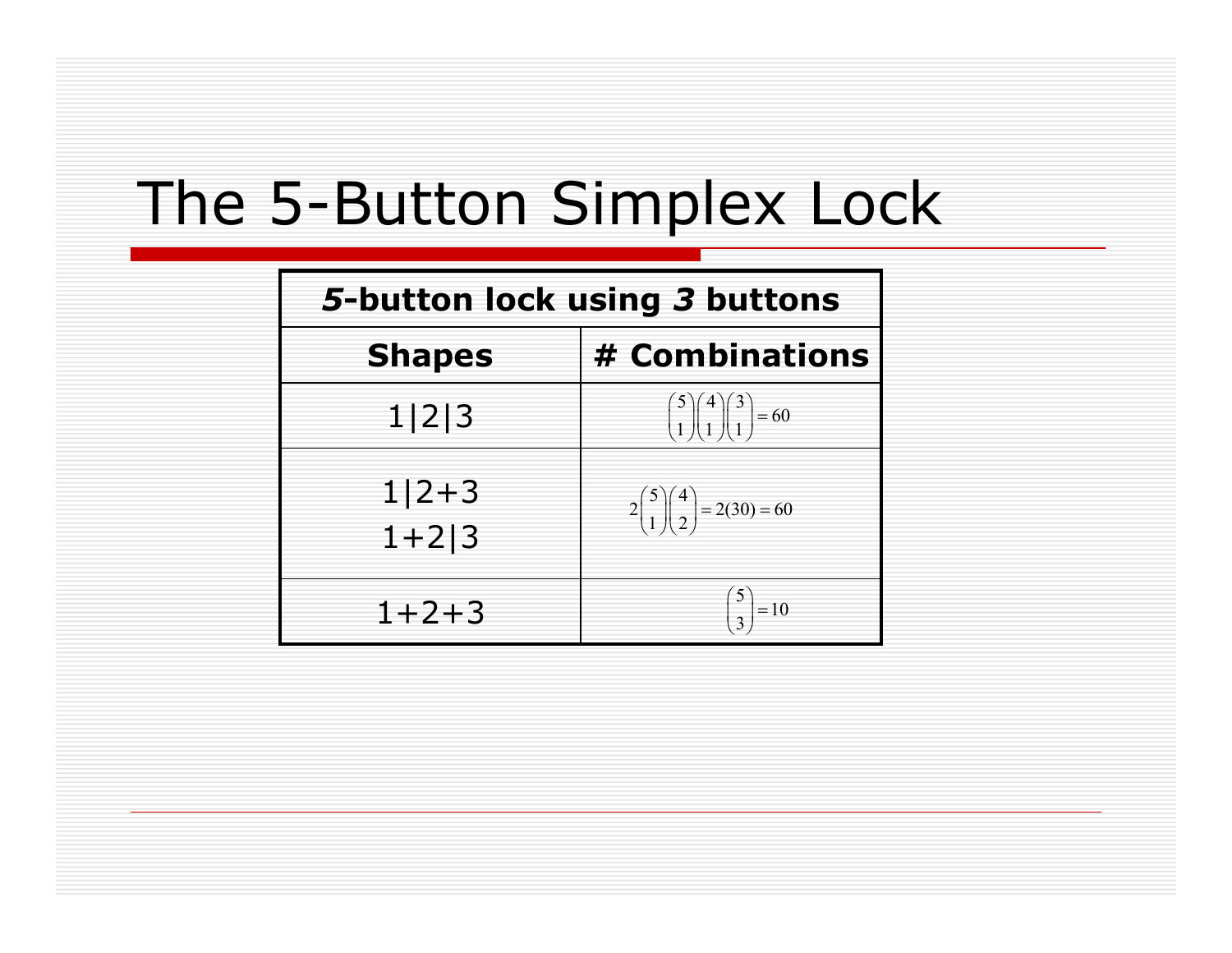| 5-button lock using 3 buttons |                                                                                                                       |  |
|-------------------------------|-----------------------------------------------------------------------------------------------------------------------|--|
| <b>Shapes</b>                 | # Combinations                                                                                                        |  |
| 1 2 3                         | $\begin{pmatrix} 5 \\ 1 \end{pmatrix} \begin{pmatrix} 4 \\ 1 \end{pmatrix} \begin{pmatrix} 3 \\ 1 \end{pmatrix} = 60$ |  |
| $1 2+3$<br>$1 + 2 3$          | $2\binom{5}{1}\binom{4}{2} = 2(30) = 60$                                                                              |  |
| $1 + 2 + 3$                   | $\begin{pmatrix} 5 \\ 3 \end{pmatrix} = 10$                                                                           |  |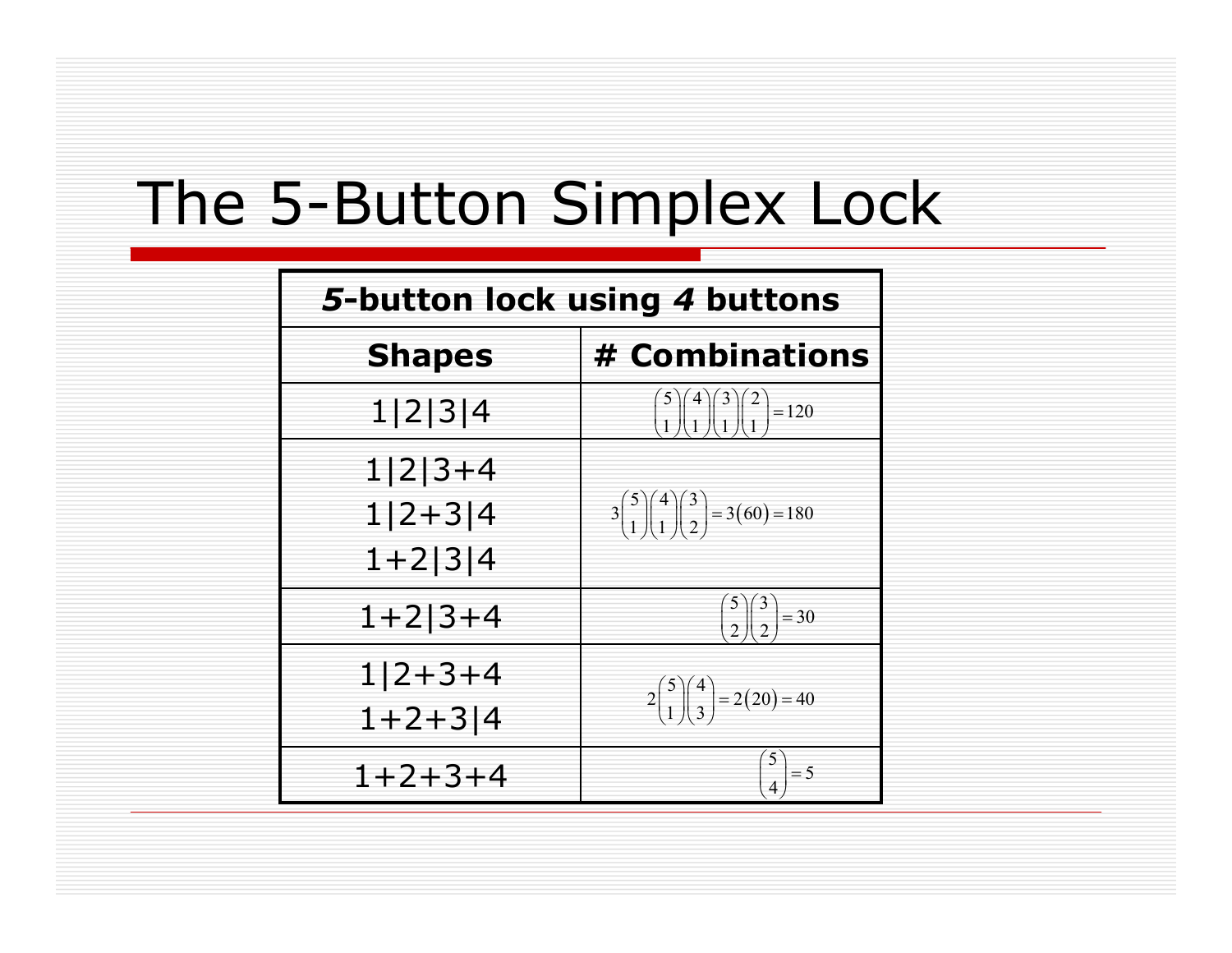| 5-button lock using 4 buttons |                                                          |  |  |
|-------------------------------|----------------------------------------------------------|--|--|
| <b>Shapes</b>                 | # Combinations                                           |  |  |
| 1 2 3 4                       | $\binom{5}{1}\binom{4}{1}\binom{3}{1}\binom{2}{1} = 120$ |  |  |
| $1 2 3+4$<br>$1 2+3 4$        | $3\binom{5}{1}\binom{4}{1}\binom{3}{2} = 3(60) = 180$    |  |  |
| $1+2 3 4$                     |                                                          |  |  |
| $1+2$  3+4                    | $\binom{5}{2}\binom{3}{2} = 30$                          |  |  |
| $1 2+3+4$<br>$1+2+3$  4       | $2\binom{5}{1}\binom{4}{3} = 2(20) = 40$                 |  |  |
| $1 + 2 + 3 + 4$               |                                                          |  |  |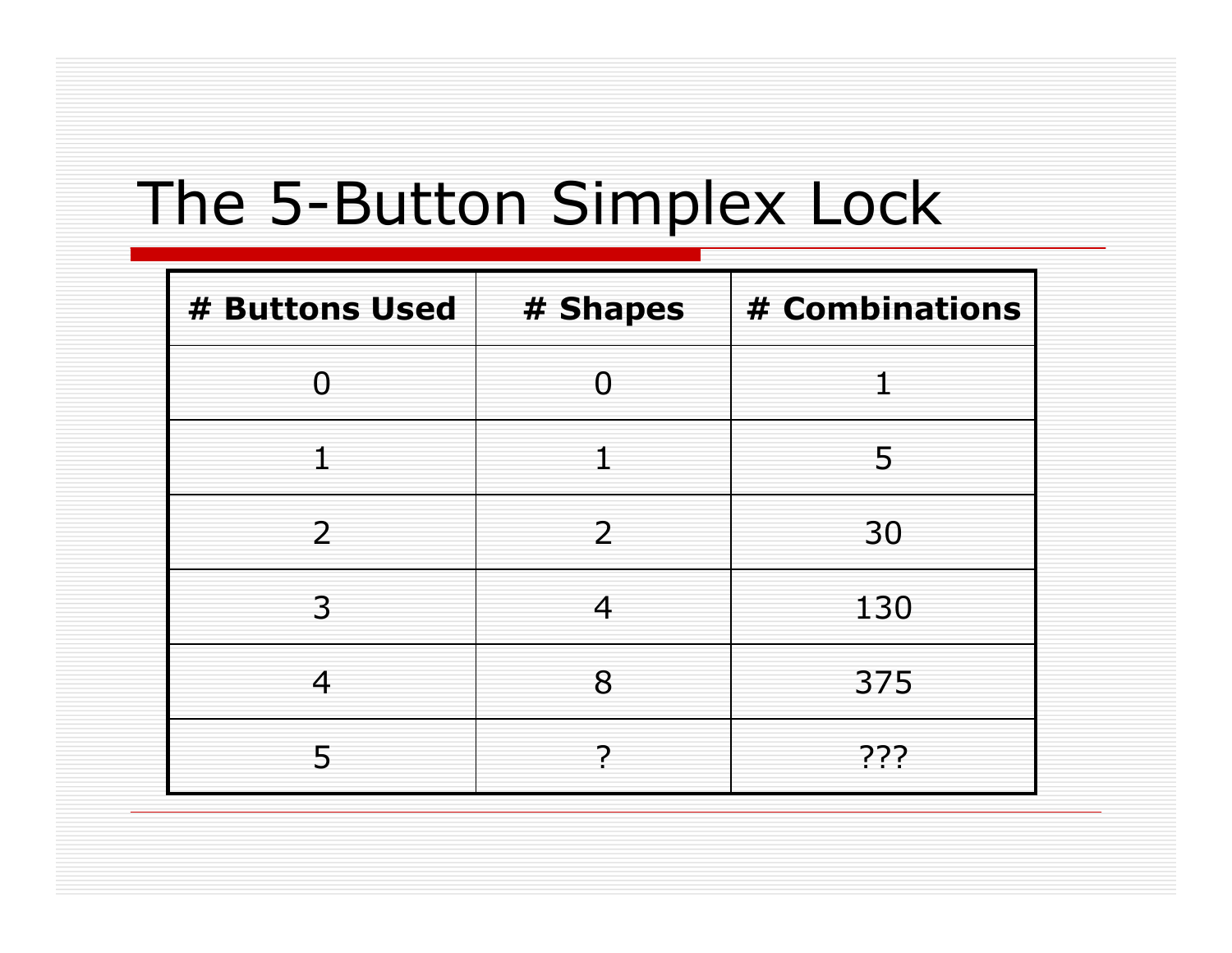| # Buttons Used | # Shapes | # Combinations |
|----------------|----------|----------------|
| O              | $\cap$   |                |
|                |          | 5              |
| $\overline{2}$ | 2        | 30             |
| 3              | 4        | 130            |
| 4              | 8        | 375            |
| 5              |          | ???            |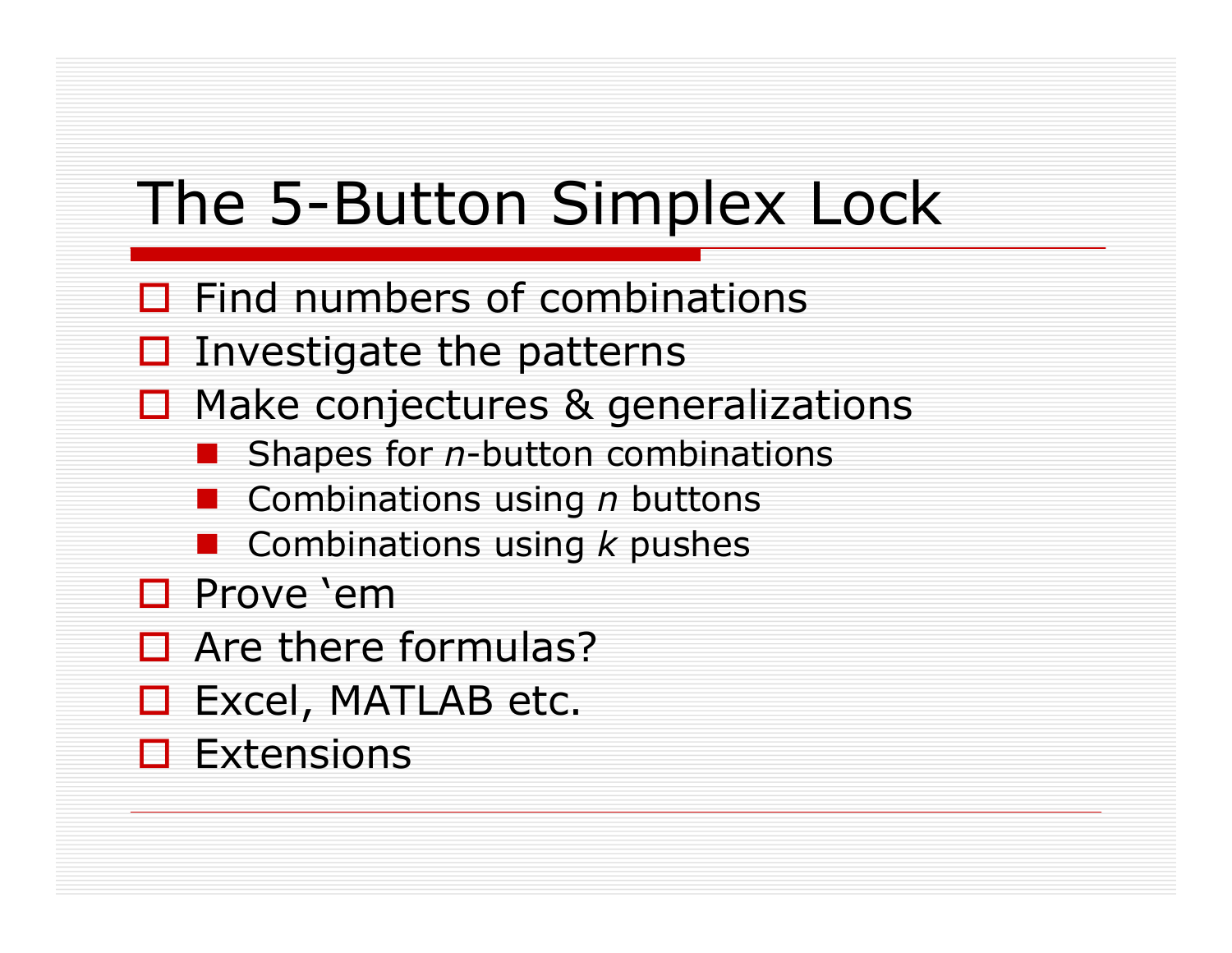- $\Box$  Find numbers of combinations
- $\square$  Investigate the patterns
- $\Box$  Make conjectures & generalizations
	- Shapes for *n*-button combinations
	- **E** Combinations using *n* buttons
	- **E** Combinations using *k* pushes
- □ Prove 'em
- □ Are there formulas?
- □ Excel, MATLAB etc.
- $\square$  Extensions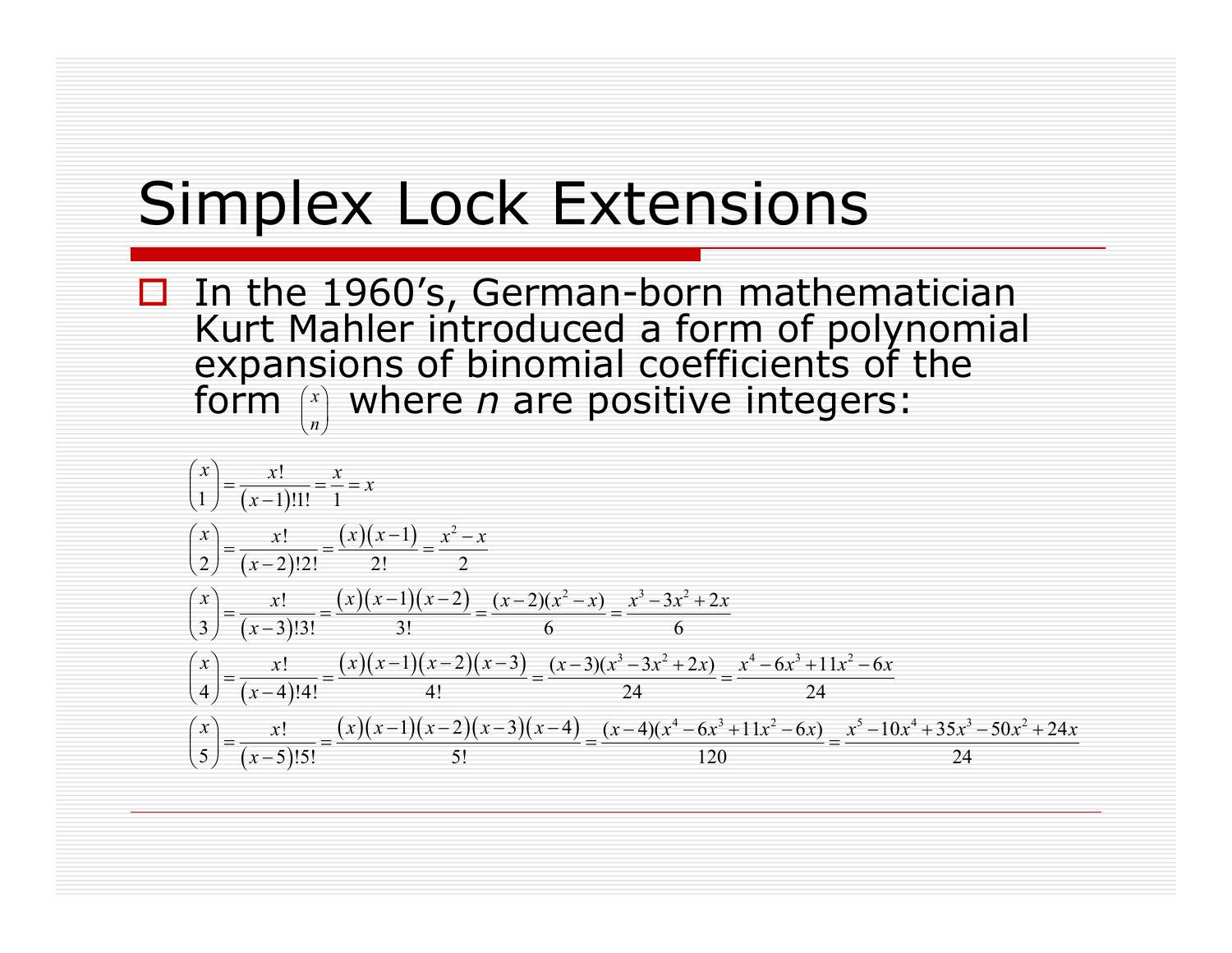#### Simplex Lock Extensions

□ In the 1960's, German-born mathematician Kurt Mahler introduced a form of polynomial expansions of binomial coefficients of the form  $\left(x\right)$  where *n* are positive integers:  $\binom{x}{n}$ 

$$
\begin{aligned}\n\binom{x}{1} &= \frac{x!}{(x-1)!1!} = \frac{x}{1} = x \\
\binom{x}{2} &= \frac{x!}{(x-2)!2!} = \frac{(x)(x-1)}{2!} = \frac{x^2 - x}{2} \\
\binom{x}{3} &= \frac{x!}{(x-3)!3!} = \frac{(x)(x-1)(x-2)}{3!} = \frac{(x-2)(x^2 - x)}{6} = \frac{x^3 - 3x^2 + 2x}{6} \\
\binom{x}{4} &= \frac{x!}{(x-4)!4!} = \frac{(x)(x-1)(x-2)(x-3)}{4!} = \frac{(x-3)(x^3 - 3x^2 + 2x)}{24} = \frac{x^4 - 6x^3 + 11x^2 - 6x}{24} \\
\binom{x}{5} &= \frac{x!}{(x-5)!5!} = \frac{(x)(x-1)(x-2)(x-3)(x-4)}{5!} = \frac{(x-4)(x^4 - 6x^3 + 11x^2 - 6x)}{120} = \frac{x^5 - 10x^4 + 35x^3 - 50x^2 + 24x}{24}\n\end{aligned}
$$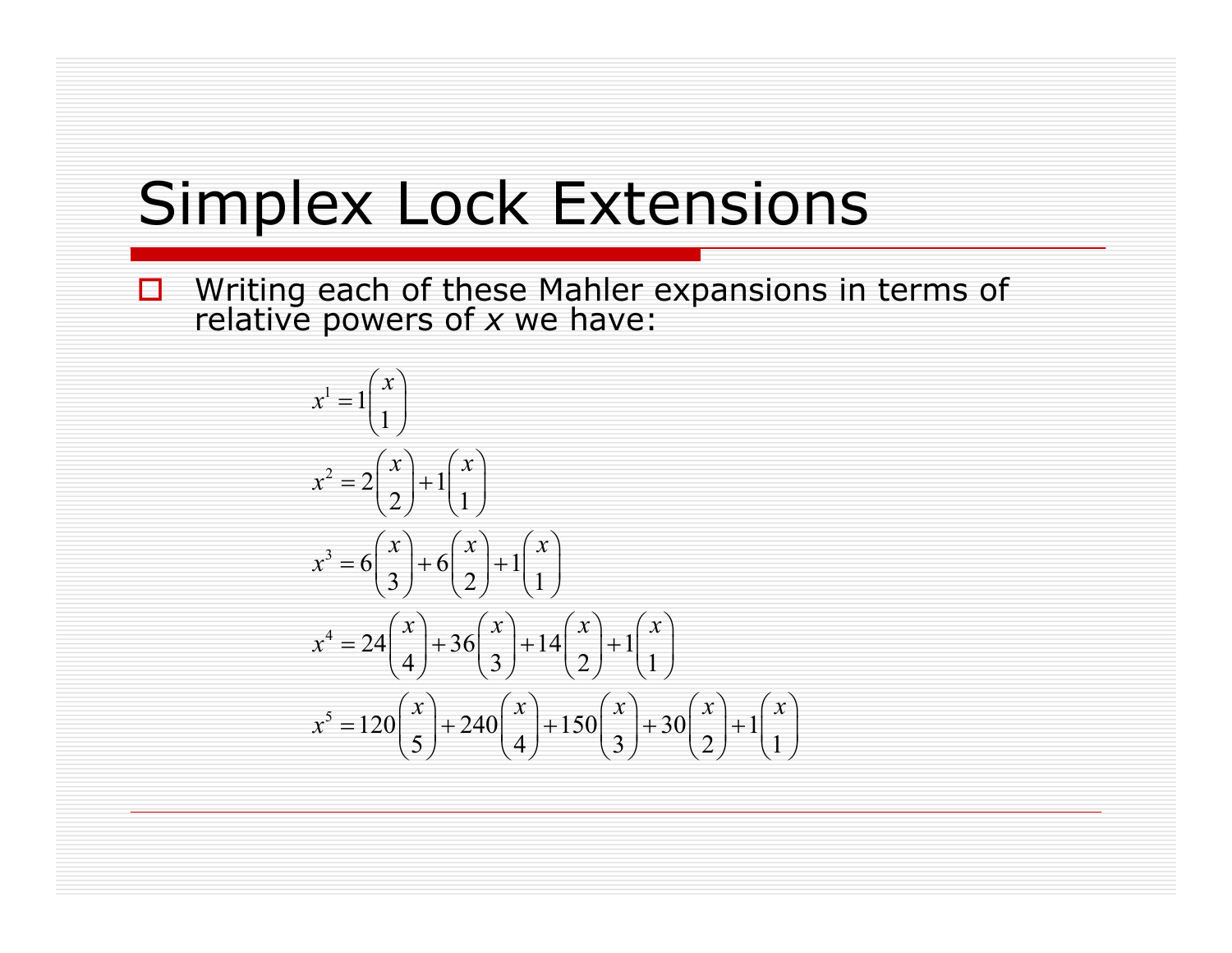## Simplex Lock Extensions

 Writing each of these Mahler expansions in terms of relative powers of *x* we have:

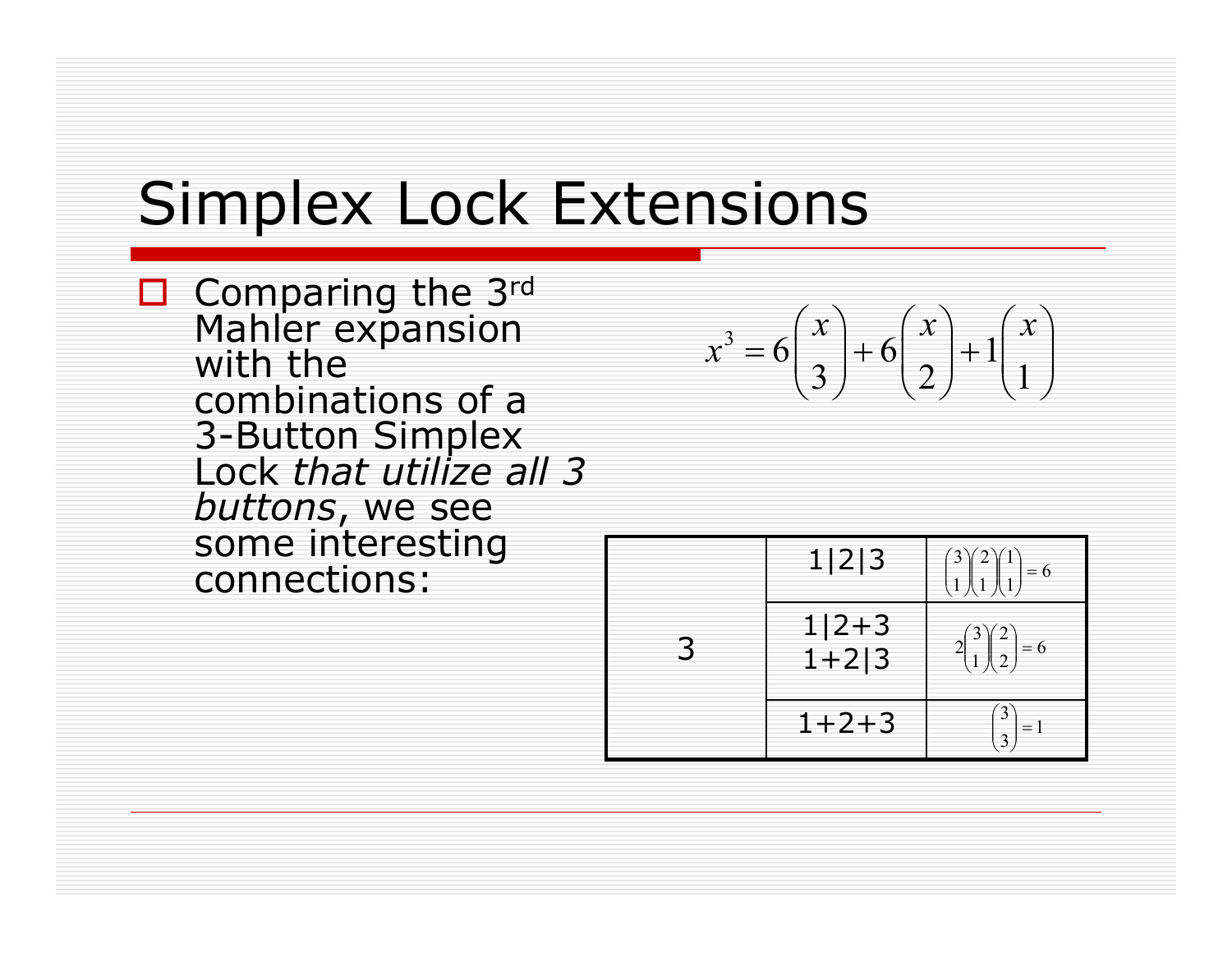# Simplex Lock Extensions

 $\Box$  Comparing the 3rd Mahler expansion with the combinations of a 3-Button Simplex Lock *that utilize all 3 buttons*, we see some interesting connections:

$$
x^3 = 6\binom{x}{3} + 6\binom{x}{2} + 1\binom{x}{1}
$$

| 1 2 3                | $= 6$                  |
|----------------------|------------------------|
| $1 2+3$<br>$1 + 2 3$ | $\angle$<br>$= 6$<br>◠ |
| $1+2+3$              |                        |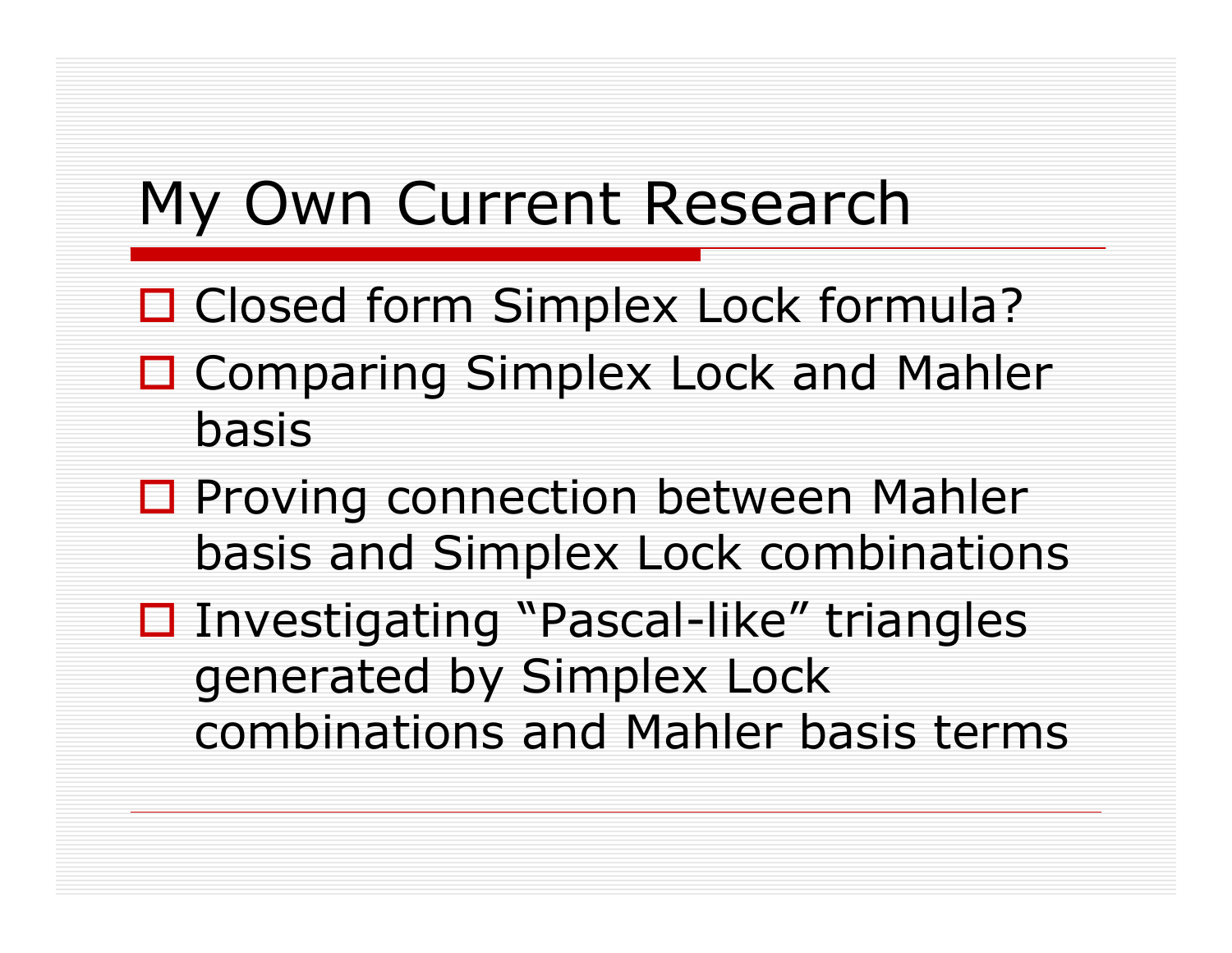## My Own Current Research

- □ Closed form Simplex Lock formula?
- □ Comparing Simplex Lock and Mahler basis
- □ Proving connection between Mahler basis and Simplex Lock combinations
- Investigating "Pascal-like" triangles generated by Simplex Lock combinations and Mahler basis terms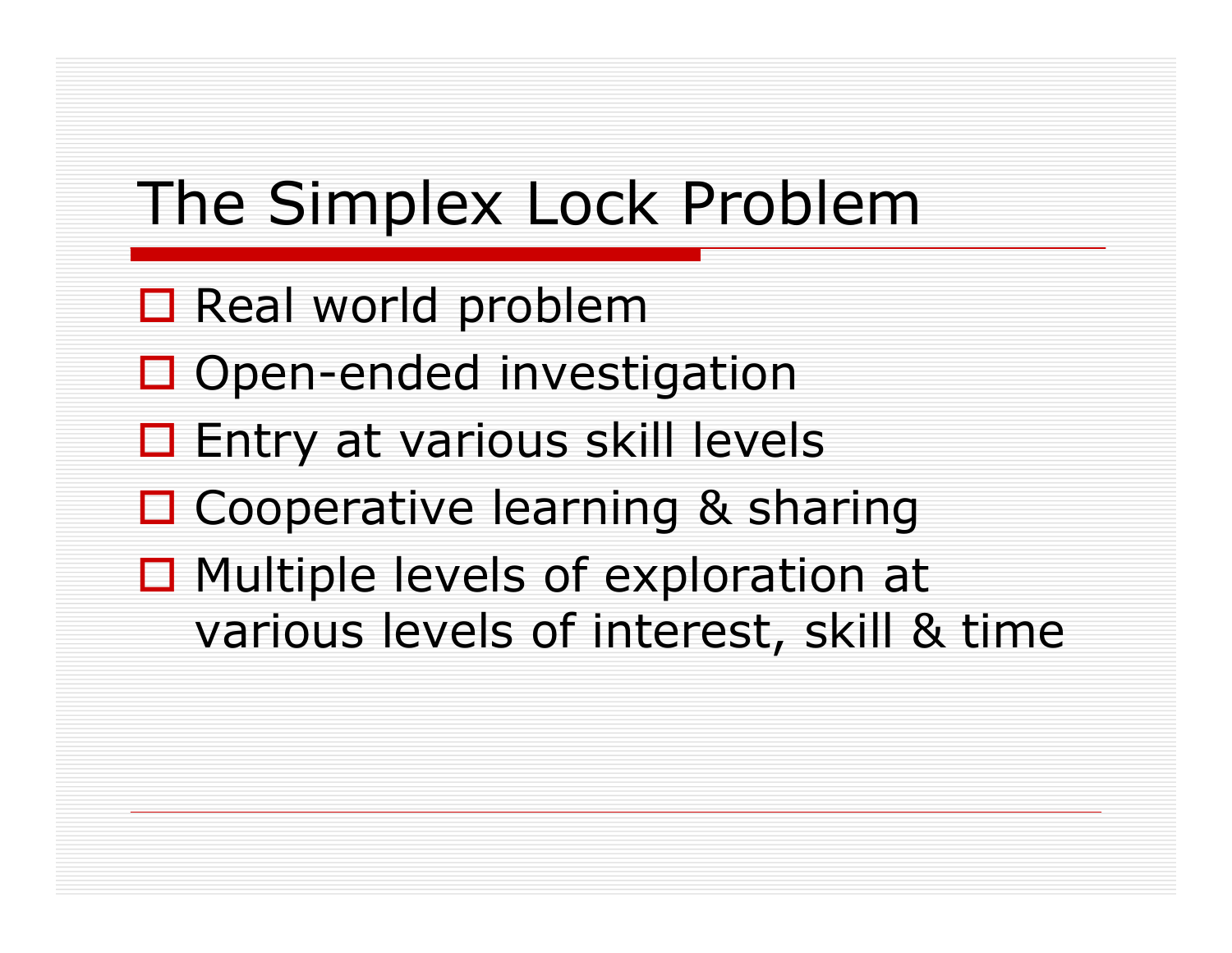# The Simplex Lock Problem

- $\Box$  Real world problem
- □ Open-ended investigation
- □ Entry at various skill levels
- □ Cooperative learning & sharing
- □ Multiple levels of exploration at various levels of interest, skill & time